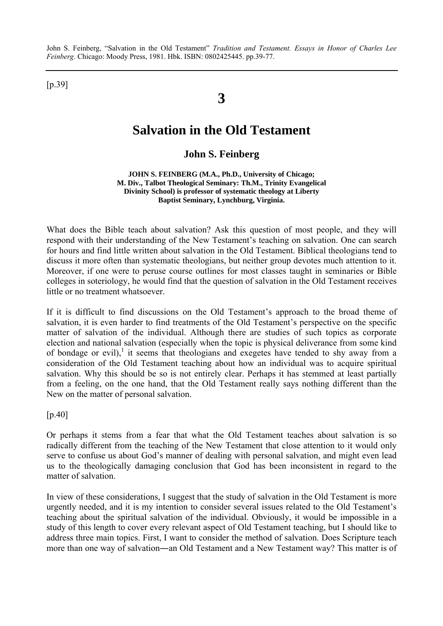[p.39]

# **3**

# **Salvation in the Old Testament**

# **John S. Feinberg**

**JOHN S. FEINBERG (M.A., Ph.D., University of Chicago; M. Div., Talbot Theological Seminary: Th.M., Trinity Evangelical Divinity School) is professor of systematic theology at Liberty Baptist Seminary, Lynchburg, Virginia.**

What does the Bible teach about salvation? Ask this question of most people, and they will respond with their understanding of the New Testament's teaching on salvation. One can search for hours and find little written about salvation in the Old Testament. Biblical theologians tend to discuss it more often than systematic theologians, but neither group devotes much attention to it. Moreover, if one were to peruse course outlines for most classes taught in seminaries or Bible colleges in soteriology, he would find that the question of salvation in the Old Testament receives little or no treatment whatsoever.

If it is difficult to find discussions on the Old Testament's approach to the broad theme of salvation, it is even harder to find treatments of the Old Testament's perspective on the specific matter of salvation of the individual. Although there are studies of such topics as corporate election and national salvation (especially when the topic is physical deliverance from some kind of bondage or evil), $\frac{1}{1}$  it seems that theologians and exegetes have tended to shy away from a consideration of the Old Testament teaching about how an individual was to acquire spiritual salvation. Why this should be so is not entirely clear. Perhaps it has stemmed at least partially from a feeling, on the one hand, that the Old Testament really says nothing different than the New on the matter of personal salvation.

[p.40]

Or perhaps it stems from a fear that what the Old Testament teaches about salvation is so radically different from the teaching of the New Testament that close attention to it would only serve to confuse us about God's manner of dealing with personal salvation, and might even lead us to the theologically damaging conclusion that God has been inconsistent in regard to the matter of salvation.

In view of these considerations, I suggest that the study of salvation in the Old Testament is more urgently needed, and it is my intention to consider several issues related to the Old Testament's teaching about the spiritual salvation of the individual. Obviously, it would be impossible in a study of this length to cover every relevant aspect of Old Testament teaching, but I should like to address three main topics. First, I want to consider the method of salvation. Does Scripture teach more than one way of salvation―an Old Testament and a New Testament way? This matter is of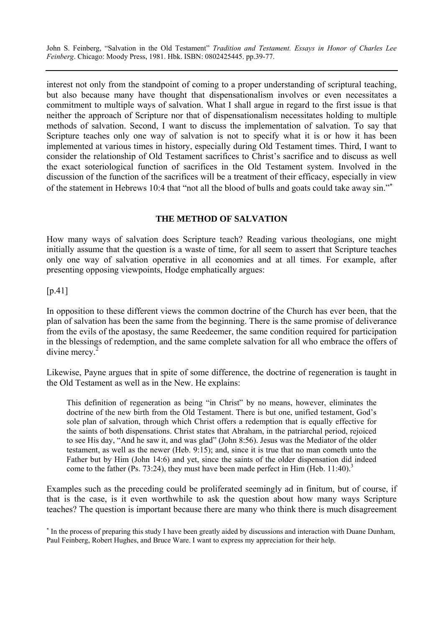interest not only from the standpoint of coming to a proper understanding of scriptural teaching, but also because many have thought that dispensationalism involves or even necessitates a commitment to multiple ways of salvation. What I shall argue in regard to the first issue is that neither the approach of Scripture nor that of dispensationalism necessitates holding to multiple methods of salvation. Second, I want to discuss the implementation of salvation. To say that Scripture teaches only one way of salvation is not to specify what it is or how it has been implemented at various times in history, especially during Old Testament times. Third, I want to consider the relationship of Old Testament sacrifices to Christ's sacrifice and to discuss as well the exact soteriological function of sacrifices in the Old Testament system. Involved in the discussion of the function of the sacrifices will be a treatment of their efficacy, especially in view of the statement in Hebrews 10:4 that "not all the blood of bulls and goats could take away sin."<sup>\*</sup>

#### **THE METHOD OF SALVATION**

How many ways of salvation does Scripture teach? Reading various theologians, one might initially assume that the question is a waste of time, for all seem to assert that Scripture teaches only one way of salvation operative in all economies and at all times. For example, after presenting opposing viewpoints, Hodge emphatically argues:

[p.41]

In opposition to these different views the common doctrine of the Church has ever been, that the plan of salvation has been the same from the beginning. There is the same promise of deliverance from the evils of the apostasy, the same Reedeemer, the same condition required for participation in the blessings of redemption, and the same complete salvation for all who embrace the offers of divine mercy.<sup>2</sup>

Likewise, Payne argues that in spite of some difference, the doctrine of regeneration is taught in the Old Testament as well as in the New. He explains:

This definition of regeneration as being "in Christ" by no means, however, eliminates the doctrine of the new birth from the Old Testament. There is but one, unified testament, God's sole plan of salvation, through which Christ offers a redemption that is equally effective for the saints of both dispensations. Christ states that Abraham, in the patriarchal period, rejoiced to see His day, "And he saw it, and was glad" (John 8:56). Jesus was the Mediator of the older testament, as well as the newer (Heb. 9:15); and, since it is true that no man cometh unto the Father but by Him (John 14:6) and yet, since the saints of the older dispensation did indeed come to the father (Ps. 73:24), they must have been made perfect in Him (Heb. 11:40).<sup>3</sup>

Examples such as the preceding could be proliferated seemingly ad in finitum, but of course, if that is the case, is it even worthwhile to ask the question about how many ways Scripture teaches? The question is important because there are many who think there is much disagreement

<sup>∗</sup> In the process of preparing this study I have been greatly aided by discussions and interaction with Duane Dunham, Paul Feinberg, Robert Hughes, and Bruce Ware. I want to express my appreciation for their help.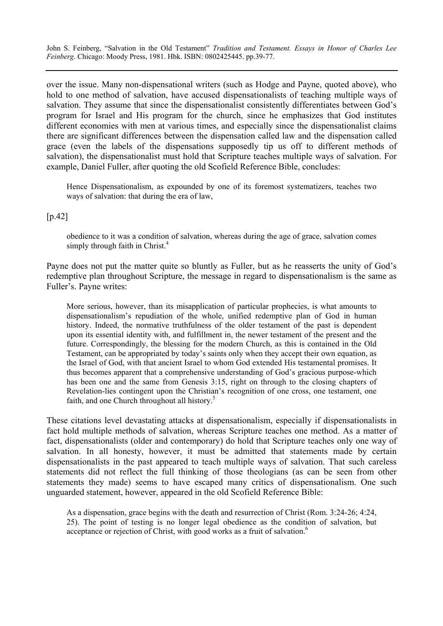over the issue. Many non-dispensational writers (such as Hodge and Payne, quoted above), who hold to one method of salvation, have accused dispensationalists of teaching multiple ways of salvation. They assume that since the dispensationalist consistently differentiates between God's program for Israel and His program for the church, since he emphasizes that God institutes different economies with men at various times, and especially since the dispensationalist claims there are significant differences between the dispensation called law and the dispensation called grace (even the labels of the dispensations supposedly tip us off to different methods of salvation), the dispensationalist must hold that Scripture teaches multiple ways of salvation. For example, Daniel Fuller, after quoting the old Scofield Reference Bible, concludes:

Hence Dispensationalism, as expounded by one of its foremost systematizers, teaches two ways of salvation: that during the era of law,

#### [p.42]

obedience to it was a condition of salvation, whereas during the age of grace, salvation comes simply through faith in Christ.<sup>4</sup>

Payne does not put the matter quite so bluntly as Fuller, but as he reasserts the unity of God's redemptive plan throughout Scripture, the message in regard to dispensationalism is the same as Fuller's. Payne writes:

More serious, however, than its misapplication of particular prophecies, is what amounts to dispensationalism's repudiation of the whole, unified redemptive plan of God in human history. Indeed, the normative truthfulness of the older testament of the past is dependent upon its essential identity with, and fulfillment in, the newer testament of the present and the future. Correspondingly, the blessing for the modern Church, as this is contained in the Old Testament, can be appropriated by today's saints only when they accept their own equation, as the Israel of God, with that ancient Israel to whom God extended His testamental promises. It thus becomes apparent that a comprehensive understanding of God's gracious purpose-which has been one and the same from Genesis 3:15, right on through to the closing chapters of Revelation-lies contingent upon the Christian's recognition of one cross, one testament, one faith, and one Church throughout all history.<sup>5</sup>

These citations level devastating attacks at dispensationalism, especially if dispensationalists in fact hold multiple methods of salvation, whereas Scripture teaches one method. As a matter of fact, dispensationalists (older and contemporary) do hold that Scripture teaches only one way of salvation. In all honesty, however, it must be admitted that statements made by certain dispensationalists in the past appeared to teach multiple ways of salvation. That such careless statements did not reflect the full thinking of those theologians (as can be seen from other statements they made) seems to have escaped many critics of dispensationalism. One such unguarded statement, however, appeared in the old Scofield Reference Bible:

As a dispensation, grace begins with the death and resurrection of Christ (Rom. 3:24-26; 4:24, 25). The point of testing is no longer legal obedience as the condition of salvation, but acceptance or rejection of Christ, with good works as a fruit of salvation.<sup>6</sup>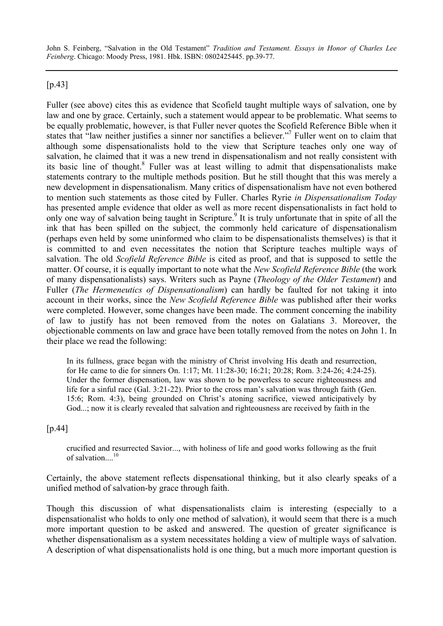#### [p.43]

Fuller (see above) cites this as evidence that Scofield taught multiple ways of salvation, one by law and one by grace. Certainly, such a statement would appear to be problematic. What seems to be equally problematic, however, is that Fuller never quotes the Scofield Reference Bible when it states that "law neither justifies a sinner nor sanctifies a believer."<sup>7</sup> Fuller went on to claim that although some dispensationalists hold to the view that Scripture teaches only one way of salvation, he claimed that it was a new trend in dispensationalism and not really consistent with its basic line of thought.<sup>8</sup> Fuller was at least willing to admit that dispensationalists make statements contrary to the multiple methods position. But he still thought that this was merely a new development in dispensationalism. Many critics of dispensationalism have not even bothered to mention such statements as those cited by Fuller. Charles Ryrie *in Dispensationalism Today* has presented ample evidence that older as well as more recent dispensationalists in fact hold to only one way of salvation being taught in Scripture.<sup>9</sup> It is truly unfortunate that in spite of all the ink that has been spilled on the subject, the commonly held caricature of dispensationalism (perhaps even held by some uninformed who claim to be dispensationalists themselves) is that it is committed to and even necessitates the notion that Scripture teaches multiple ways of salvation. The old *Scofield Reference Bible* is cited as proof, and that is supposed to settle the matter. Of course, it is equally important to note what the *New Scofield Reference Bible* (the work of many dispensationalists) says. Writers such as Payne (*Theology of the Older Testament*) and Fuller (*The Hermeneutics of Dispensationalism*) can hardly be faulted for not taking it into account in their works, since the *New Scofield Reference Bible* was published after their works were completed. However, some changes have been made. The comment concerning the inability of law to justify has not been removed from the notes on Galatians 3. Moreover, the objectionable comments on law and grace have been totally removed from the notes on John 1. In their place we read the following:

In its fullness, grace began with the ministry of Christ involving His death and resurrection, for He came to die for sinners On. 1:17; Mt. 11:28-30; 16:21; 20:28; Rom. 3:24-26; 4:24-25). Under the former dispensation, law was shown to be powerless to secure righteousness and life for a sinful race (Gal. 3:21-22). Prior to the cross man's salvation was through faith (Gen. 15:6; Rom. 4:3), being grounded on Christ's atoning sacrifice, viewed anticipatively by God...; now it is clearly revealed that salvation and righteousness are received by faith in the

#### [p.44]

crucified and resurrected Savior..., with holiness of life and good works following as the fruit of salvation $\ldots^{10}$ 

Certainly, the above statement reflects dispensational thinking, but it also clearly speaks of a unified method of salvation-by grace through faith.

Though this discussion of what dispensationalists claim is interesting (especially to a dispensationalist who holds to only one method of salvation), it would seem that there is a much more important question to be asked and answered. The question of greater significance is whether dispensationalism as a system necessitates holding a view of multiple ways of salvation. A description of what dispensationalists hold is one thing, but a much more important question is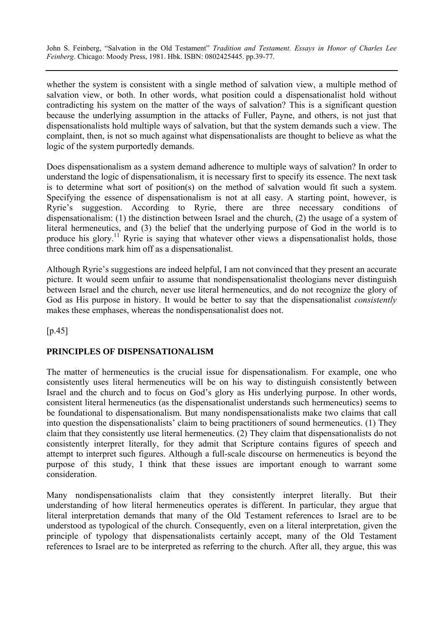whether the system is consistent with a single method of salvation view, a multiple method of salvation view, or both. In other words, what position could a dispensationalist hold without contradicting his system on the matter of the ways of salvation? This is a significant question because the underlying assumption in the attacks of Fuller, Payne, and others, is not just that dispensationalists hold multiple ways of salvation, but that the system demands such a view. The complaint, then, is not so much against what dispensationalists are thought to believe as what the logic of the system purportedly demands.

Does dispensationalism as a system demand adherence to multiple ways of salvation? In order to understand the logic of dispensationalism, it is necessary first to specify its essence. The next task is to determine what sort of position(s) on the method of salvation would fit such a system. Specifying the essence of dispensationalism is not at all easy. A starting point, however, is Ryrie's suggestion. According to Ryrie, there are three necessary conditions of dispensationalism: (1) the distinction between Israel and the church, (2) the usage of a system of literal hermeneutics, and (3) the belief that the underlying purpose of God in the world is to produce his glory.<sup>11</sup> Ryrie is saying that whatever other views a dispensationalist holds, those three conditions mark him off as a dispensationalist.

Although Ryrie's suggestions are indeed helpful, I am not convinced that they present an accurate picture. It would seem unfair to assume that nondispensationalist theologians never distinguish between Israel and the church, never use literal hermeneutics, and do not recognize the glory of God as His purpose in history. It would be better to say that the dispensationalist *consistently* makes these emphases, whereas the nondispensationalist does not.

[p.45]

# **PRINCIPLES OF DISPENSATIONALISM**

The matter of hermeneutics is the crucial issue for dispensationalism. For example, one who consistently uses literal hermeneutics will be on his way to distinguish consistently between Israel and the church and to focus on God's glory as His underlying purpose. In other words, consistent literal hermeneutics (as the dispensationalist understands such hermeneutics) seems to be foundational to dispensationalism. But many nondispensationalists make two claims that call into question the dispensationalists' claim to being practitioners of sound hermeneutics. (1) They claim that they consistently use literal hermeneutics. (2) They claim that dispensationalists do not consistently interpret literally, for they admit that Scripture contains figures of speech and attempt to interpret such figures. Although a full-scale discourse on hermeneutics is beyond the purpose of this study, I think that these issues are important enough to warrant some consideration.

Many nondispensationalists claim that they consistently interpret literally. But their understanding of how literal hermeneutics operates is different. In particular, they argue that literal interpretation demands that many of the Old Testament references to Israel are to be understood as typological of the church. Consequently, even on a literal interpretation, given the principle of typology that dispensationalists certainly accept, many of the Old Testament references to Israel are to be interpreted as referring to the church. After all, they argue, this was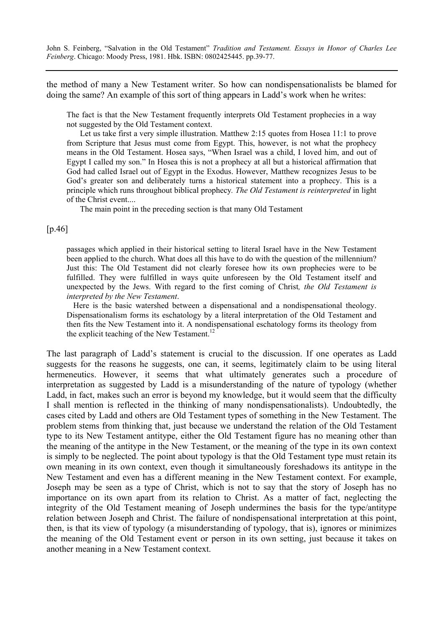the method of many a New Testament writer. So how can nondispensationalists be blamed for doing the same? An example of this sort of thing appears in Ladd's work when he writes:

The fact is that the New Testament frequently interprets Old Testament prophecies in a way not suggested by the Old Testament context.

Let us take first a very simple illustration. Matthew 2:15 quotes from Hosea 11:1 to prove from Scripture that Jesus must come from Egypt. This, however, is not what the prophecy means in the Old Testament. Hosea says, "When Israel was a child, I loved him, and out of Egypt I called my son." In Hosea this is not a prophecy at all but a historical affirmation that God had called Israel out of Egypt in the Exodus. However, Matthew recognizes Jesus to be God's greater son and deliberately turns a historical statement into a prophecy. This is a principle which runs throughout biblical prophecy*. The Old Testament is reinterpreted* in light of the Christ event....

The main point in the preceding section is that many Old Testament

#### [p.46]

passages which applied in their historical setting to literal Israel have in the New Testament been applied to the church. What does all this have to do with the question of the millennium? Just this: The Old Testament did not clearly foresee how its own prophecies were to be fulfilled. They were fulfilled in ways quite unforeseen by the Old Testament itself and unexpected by the Jews. With regard to the first coming of Christ*, the Old Testament is interpreted by the New Testament*.

Here is the basic watershed between a dispensational and a nondispensational theology. Dispensationalism forms its eschatology by a literal interpretation of the Old Testament and then fits the New Testament into it. A nondispensational eschatology forms its theology from the explicit teaching of the New Testament.<sup>12</sup>

The last paragraph of Ladd's statement is crucial to the discussion. If one operates as Ladd suggests for the reasons he suggests, one can, it seems, legitimately claim to be using literal hermeneutics. However, it seems that what ultimately generates such a procedure of interpretation as suggested by Ladd is a misunderstanding of the nature of typology (whether Ladd, in fact, makes such an error is beyond my knowledge, but it would seem that the difficulty I shall mention is reflected in the thinking of many nondispensationalists). Undoubtedly, the cases cited by Ladd and others are Old Testament types of something in the New Testament. The problem stems from thinking that, just because we understand the relation of the Old Testament type to its New Testament antitype, either the Old Testament figure has no meaning other than the meaning of the antitype in the New Testament, or the meaning of the type in its own context is simply to be neglected. The point about typology is that the Old Testament type must retain its own meaning in its own context, even though it simultaneously foreshadows its antitype in the New Testament and even has a different meaning in the New Testament context. For example, Joseph may be seen as a type of Christ, which is not to say that the story of Joseph has no importance on its own apart from its relation to Christ. As a matter of fact, neglecting the integrity of the Old Testament meaning of Joseph undermines the basis for the type/antitype relation between Joseph and Christ. The failure of nondispensational interpretation at this point, then, is that its view of typology (a misunderstanding of typology, that is), ignores or minimizes the meaning of the Old Testament event or person in its own setting, just because it takes on another meaning in a New Testament context.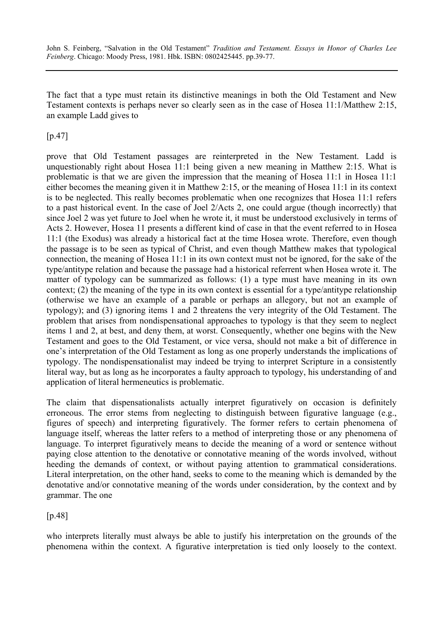The fact that a type must retain its distinctive meanings in both the Old Testament and New Testament contexts is perhaps never so clearly seen as in the case of Hosea 11:1/Matthew 2:15, an example Ladd gives to

[p.47]

prove that Old Testament passages are reinterpreted in the New Testament. Ladd is unquestionably right about Hosea 11:1 being given a new meaning in Matthew 2:15. What is problematic is that we are given the impression that the meaning of Hosea 11:1 in Hosea 11:1 either becomes the meaning given it in Matthew 2:15, or the meaning of Hosea 11:1 in its context is to be neglected. This really becomes problematic when one recognizes that Hosea 11:1 refers to a past historical event. In the case of Joel 2/Acts 2, one could argue (though incorrectly) that since Joel 2 was yet future to Joel when he wrote it, it must be understood exclusively in terms of Acts 2. However, Hosea 11 presents a different kind of case in that the event referred to in Hosea 11:1 (the Exodus) was already a historical fact at the time Hosea wrote. Therefore, even though the passage is to be seen as typical of Christ, and even though Matthew makes that typological connection, the meaning of Hosea 11:1 in its own context must not be ignored, for the sake of the type/antitype relation and because the passage had a historical referrent when Hosea wrote it. The matter of typology can be summarized as follows: (1) a type must have meaning in its own context; (2) the meaning of the type in its own context is essential for a type/antitype relationship (otherwise we have an example of a parable or perhaps an allegory, but not an example of typology); and (3) ignoring items 1 and 2 threatens the very integrity of the Old Testament. The problem that arises from nondispensational approaches to typology is that they seem to neglect items 1 and 2, at best, and deny them, at worst. Consequently, whether one begins with the New Testament and goes to the Old Testament, or vice versa, should not make a bit of difference in one's interpretation of the Old Testament as long as one properly understands the implications of typology. The nondispensationalist may indeed be trying to interpret Scripture in a consistently literal way, but as long as he incorporates a faulty approach to typology, his understanding of and application of literal hermeneutics is problematic.

The claim that dispensationalists actually interpret figuratively on occasion is definitely erroneous. The error stems from neglecting to distinguish between figurative language (e.g., figures of speech) and interpreting figuratively. The former refers to certain phenomena of language itself, whereas the latter refers to a method of interpreting those or any phenomena of language. To interpret figuratively means to decide the meaning of a word or sentence without paying close attention to the denotative or connotative meaning of the words involved, without heeding the demands of context, or without paying attention to grammatical considerations. Literal interpretation, on the other hand, seeks to come to the meaning which is demanded by the denotative and/or connotative meaning of the words under consideration, by the context and by grammar. The one

[p.48]

who interprets literally must always be able to justify his interpretation on the grounds of the phenomena within the context. A figurative interpretation is tied only loosely to the context.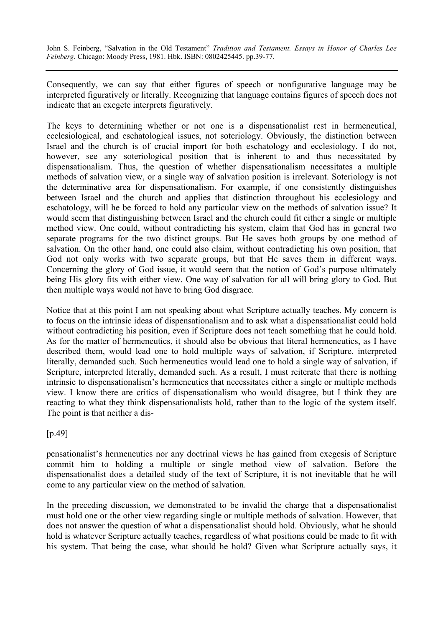Consequently, we can say that either figures of speech or nonfigurative language may be interpreted figuratively or literally. Recognizing that language contains figures of speech does not indicate that an exegete interprets figuratively.

The keys to determining whether or not one is a dispensationalist rest in hermeneutical, ecclesiological, and eschatological issues, not soteriology. Obviously, the distinction between Israel and the church is of crucial import for both eschatology and ecclesiology. I do not, however, see any soteriological position that is inherent to and thus necessitated by dispensationalism. Thus, the question of whether dispensationalism necessitates a multiple methods of salvation view, or a single way of salvation position is irrelevant. Soteriology is not the determinative area for dispensationalism. For example, if one consistently distinguishes between Israel and the church and applies that distinction throughout his ecclesiology and eschatology, will he be forced to hold any particular view on the methods of salvation issue? It would seem that distinguishing between Israel and the church could fit either a single or multiple method view. One could, without contradicting his system, claim that God has in general two separate programs for the two distinct groups. But He saves both groups by one method of salvation. On the other hand, one could also claim, without contradicting his own position, that God not only works with two separate groups, but that He saves them in different ways. Concerning the glory of God issue, it would seem that the notion of God's purpose ultimately being His glory fits with either view. One way of salvation for all will bring glory to God. But then multiple ways would not have to bring God disgrace.

Notice that at this point I am not speaking about what Scripture actually teaches. My concern is to focus on the intrinsic ideas of dispensationalism and to ask what a dispensationalist could hold without contradicting his position, even if Scripture does not teach something that he could hold. As for the matter of hermeneutics, it should also be obvious that literal hermeneutics, as I have described them, would lead one to hold multiple ways of salvation, if Scripture, interpreted literally, demanded such. Such hermeneutics would lead one to hold a single way of salvation, if Scripture, interpreted literally, demanded such. As a result, I must reiterate that there is nothing intrinsic to dispensationalism's hermeneutics that necessitates either a single or multiple methods view. I know there are critics of dispensationalism who would disagree, but I think they are reacting to what they think dispensationalists hold, rather than to the logic of the system itself. The point is that neither a dis-

#### [p.49]

pensationalist's hermeneutics nor any doctrinal views he has gained from exegesis of Scripture commit him to holding a multiple or single method view of salvation. Before the dispensationalist does a detailed study of the text of Scripture, it is not inevitable that he will come to any particular view on the method of salvation.

In the preceding discussion, we demonstrated to be invalid the charge that a dispensationalist must hold one or the other view regarding single or multiple methods of salvation. However, that does not answer the question of what a dispensationalist should hold. Obviously, what he should hold is whatever Scripture actually teaches, regardless of what positions could be made to fit with his system. That being the case, what should he hold? Given what Scripture actually says, it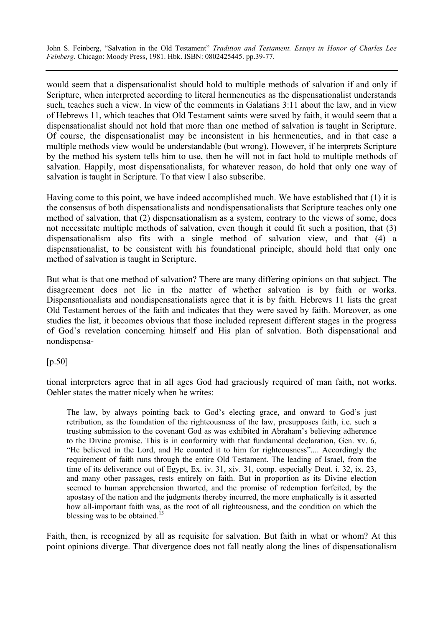would seem that a dispensationalist should hold to multiple methods of salvation if and only if Scripture, when interpreted according to literal hermeneutics as the dispensationalist understands such, teaches such a view. In view of the comments in Galatians 3:11 about the law, and in view of Hebrews 11, which teaches that Old Testament saints were saved by faith, it would seem that a dispensationalist should not hold that more than one method of salvation is taught in Scripture. Of course, the dispensationalist may be inconsistent in his hermeneutics, and in that case a multiple methods view would be understandable (but wrong). However, if he interprets Scripture by the method his system tells him to use, then he will not in fact hold to multiple methods of salvation. Happily, most dispensationalists, for whatever reason, do hold that only one way of salvation is taught in Scripture. To that view I also subscribe.

Having come to this point, we have indeed accomplished much. We have established that (1) it is the consensus of both dispensationalists and nondispensationalists that Scripture teaches only one method of salvation, that (2) dispensationalism as a system, contrary to the views of some, does not necessitate multiple methods of salvation, even though it could fit such a position, that (3) dispensationalism also fits with a single method of salvation view, and that (4) a dispensationalist, to be consistent with his foundational principle, should hold that only one method of salvation is taught in Scripture.

But what is that one method of salvation? There are many differing opinions on that subject. The disagreement does not lie in the matter of whether salvation is by faith or works. Dispensationalists and nondispensationalists agree that it is by faith. Hebrews 11 lists the great Old Testament heroes of the faith and indicates that they were saved by faith. Moreover, as one studies the list, it becomes obvious that those included represent different stages in the progress of God's revelation concerning himself and His plan of salvation. Both dispensational and nondispensa-

[p.50]

tional interpreters agree that in all ages God had graciously required of man faith, not works. Oehler states the matter nicely when he writes:

The law, by always pointing back to God's electing grace, and onward to God's just retribution, as the foundation of the righteousness of the law, presupposes faith, i.e. such a trusting submission to the covenant God as was exhibited in Abraham's believing adherence to the Divine promise. This is in conformity with that fundamental declaration, Gen. xv. 6, "He believed in the Lord, and He counted it to him for righteousness".... Accordingly the requirement of faith runs through the entire Old Testament. The leading of Israel, from the time of its deliverance out of Egypt, Ex. iv. 31, xiv. 31, comp. especially Deut. i. 32, ix. 23, and many other passages, rests entirely on faith. But in proportion as its Divine election seemed to human apprehension thwarted, and the promise of redemption forfeited, by the apostasy of the nation and the judgments thereby incurred, the more emphatically is it asserted how all-important faith was, as the root of all righteousness, and the condition on which the blessing was to be obtained. $13$ 

Faith, then, is recognized by all as requisite for salvation. But faith in what or whom? At this point opinions diverge. That divergence does not fall neatly along the lines of dispensationalism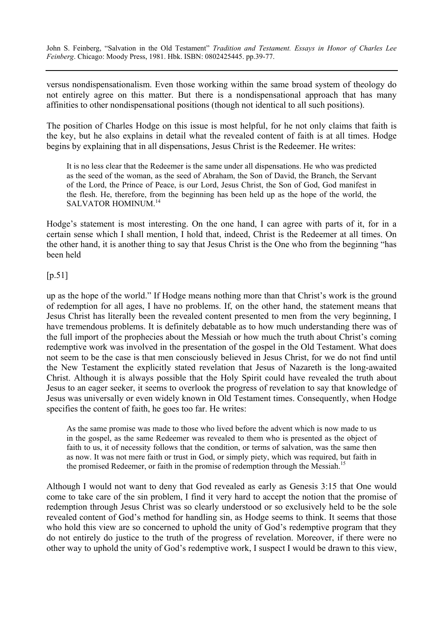versus nondispensationalism. Even those working within the same broad system of theology do not entirely agree on this matter. But there is a nondispensational approach that has many affinities to other nondispensational positions (though not identical to all such positions).

The position of Charles Hodge on this issue is most helpful, for he not only claims that faith is the key, but he also explains in detail what the revealed content of faith is at all times. Hodge begins by explaining that in all dispensations, Jesus Christ is the Redeemer. He writes:

It is no less clear that the Redeemer is the same under all dispensations. He who was predicted as the seed of the woman, as the seed of Abraham, the Son of David, the Branch, the Servant of the Lord, the Prince of Peace, is our Lord, Jesus Christ, the Son of God, God manifest in the flesh. He, therefore, from the beginning has been held up as the hope of the world, the SALVATOR HOMINUM.<sup>14</sup>

Hodge's statement is most interesting. On the one hand, I can agree with parts of it, for in a certain sense which I shall mention, I hold that, indeed, Christ is the Redeemer at all times. On the other hand, it is another thing to say that Jesus Christ is the One who from the beginning "has been held

# $[p.51]$

up as the hope of the world." If Hodge means nothing more than that Christ's work is the ground of redemption for all ages, I have no problems. If, on the other hand, the statement means that Jesus Christ has literally been the revealed content presented to men from the very beginning, I have tremendous problems. It is definitely debatable as to how much understanding there was of the full import of the prophecies about the Messiah or how much the truth about Christ's coming redemptive work was involved in the presentation of the gospel in the Old Testament. What does not seem to be the case is that men consciously believed in Jesus Christ, for we do not find until the New Testament the explicitly stated revelation that Jesus of Nazareth is the long-awaited Christ. Although it is always possible that the Holy Spirit could have revealed the truth about Jesus to an eager seeker, it seems to overlook the progress of revelation to say that knowledge of Jesus was universally or even widely known in Old Testament times. Consequently, when Hodge specifies the content of faith, he goes too far. He writes:

As the same promise was made to those who lived before the advent which is now made to us in the gospel, as the same Redeemer was revealed to them who is presented as the object of faith to us, it of necessity follows that the condition, or terms of salvation, was the same then as now. It was not mere faith or trust in God, or simply piety, which was required, but faith in the promised Redeemer, or faith in the promise of redemption through the Messiah.<sup>15</sup>

Although I would not want to deny that God revealed as early as Genesis 3:15 that One would come to take care of the sin problem, I find it very hard to accept the notion that the promise of redemption through Jesus Christ was so clearly understood or so exclusively held to be the sole revealed content of God's method for handling sin, as Hodge seems to think. It seems that those who hold this view are so concerned to uphold the unity of God's redemptive program that they do not entirely do justice to the truth of the progress of revelation. Moreover, if there were no other way to uphold the unity of God's redemptive work, I suspect I would be drawn to this view,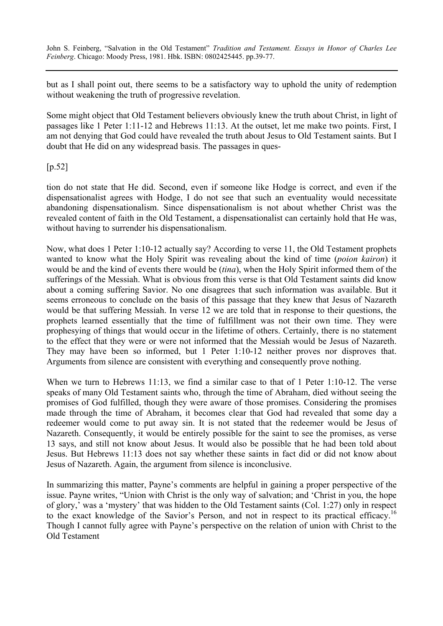but as I shall point out, there seems to be a satisfactory way to uphold the unity of redemption without weakening the truth of progressive revelation.

Some might object that Old Testament believers obviously knew the truth about Christ, in light of passages like 1 Peter 1:11-12 and Hebrews 11:13. At the outset, let me make two points. First, I am not denying that God could have revealed the truth about Jesus to Old Testament saints. But I doubt that He did on any widespread basis. The passages in ques-

[p.52]

tion do not state that He did. Second, even if someone like Hodge is correct, and even if the dispensationalist agrees with Hodge, I do not see that such an eventuality would necessitate abandoning dispensationalism. Since dispensationalism is not about whether Christ was the revealed content of faith in the Old Testament, a dispensationalist can certainly hold that He was, without having to surrender his dispensationalism.

Now, what does 1 Peter 1:10-12 actually say? According to verse 11, the Old Testament prophets wanted to know what the Holy Spirit was revealing about the kind of time (*poion kairon*) it would be and the kind of events there would be (*tina*), when the Holy Spirit informed them of the sufferings of the Messiah. What is obvious from this verse is that Old Testament saints did know about a coming suffering Savior. No one disagrees that such information was available. But it seems erroneous to conclude on the basis of this passage that they knew that Jesus of Nazareth would be that suffering Messiah. In verse 12 we are told that in response to their questions, the prophets learned essentially that the time of fulfillment was not their own time. They were prophesying of things that would occur in the lifetime of others. Certainly, there is no statement to the effect that they were or were not informed that the Messiah would be Jesus of Nazareth. They may have been so informed, but 1 Peter 1:10-12 neither proves nor disproves that. Arguments from silence are consistent with everything and consequently prove nothing.

When we turn to Hebrews 11:13, we find a similar case to that of 1 Peter 1:10-12. The verse speaks of many Old Testament saints who, through the time of Abraham, died without seeing the promises of God fulfilled, though they were aware of those promises. Considering the promises made through the time of Abraham, it becomes clear that God had revealed that some day a redeemer would come to put away sin. It is not stated that the redeemer would be Jesus of Nazareth. Consequently, it would be entirely possible for the saint to see the promises, as verse 13 says, and still not know about Jesus. It would also be possible that he had been told about Jesus. But Hebrews 11:13 does not say whether these saints in fact did or did not know about Jesus of Nazareth. Again, the argument from silence is inconclusive.

In summarizing this matter, Payne's comments are helpful in gaining a proper perspective of the issue. Payne writes, "Union with Christ is the only way of salvation; and 'Christ in you, the hope of glory,' was a 'mystery' that was hidden to the Old Testament saints (Col. 1:27) only in respect to the exact knowledge of the Savior's Person, and not in respect to its practical efficacy.<sup>16</sup> Though I cannot fully agree with Payne's perspective on the relation of union with Christ to the Old Testament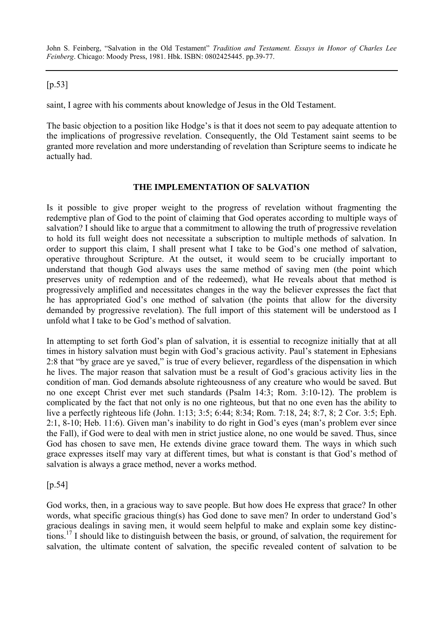# [p.53]

saint, I agree with his comments about knowledge of Jesus in the Old Testament.

The basic objection to a position like Hodge's is that it does not seem to pay adequate attention to the implications of progressive revelation. Consequently, the Old Testament saint seems to be granted more revelation and more understanding of revelation than Scripture seems to indicate he actually had.

#### **THE IMPLEMENTATION OF SALVATION**

Is it possible to give proper weight to the progress of revelation without fragmenting the redemptive plan of God to the point of claiming that God operates according to multiple ways of salvation? I should like to argue that a commitment to allowing the truth of progressive revelation to hold its full weight does not necessitate a subscription to multiple methods of salvation. In order to support this claim, I shall present what I take to be God's one method of salvation, operative throughout Scripture. At the outset, it would seem to be crucially important to understand that though God always uses the same method of saving men (the point which preserves unity of redemption and of the redeemed), what He reveals about that method is progressively amplified and necessitates changes in the way the believer expresses the fact that he has appropriated God's one method of salvation (the points that allow for the diversity demanded by progressive revelation). The full import of this statement will be understood as I unfold what I take to be God's method of salvation.

In attempting to set forth God's plan of salvation, it is essential to recognize initially that at all times in history salvation must begin with God's gracious activity. Paul's statement in Ephesians 2:8 that "by grace are ye saved," is true of every believer, regardless of the dispensation in which he lives. The major reason that salvation must be a result of God's gracious activity lies in the condition of man. God demands absolute righteousness of any creature who would be saved. But no one except Christ ever met such standards (Psalm 14:3; Rom. 3:10-12). The problem is complicated by the fact that not only is no one righteous, but that no one even has the ability to live a perfectly righteous life (John. 1:13; 3:5; 6:44; 8:34; Rom. 7:18, 24; 8:7, 8; 2 Cor. 3:5; Eph. 2:1, 8-10; Heb. 11:6). Given man's inability to do right in God's eyes (man's problem ever since the Fall), if God were to deal with men in strict justice alone, no one would be saved. Thus, since God has chosen to save men, He extends divine grace toward them. The ways in which such grace expresses itself may vary at different times, but what is constant is that God's method of salvation is always a grace method, never a works method.

[p.54]

God works, then, in a gracious way to save people. But how does He express that grace? In other words, what specific gracious thing(s) has God done to save men? In order to understand God's gracious dealings in saving men, it would seem helpful to make and explain some key distinctions.17 I should like to distinguish between the basis, or ground, of salvation, the requirement for salvation, the ultimate content of salvation, the specific revealed content of salvation to be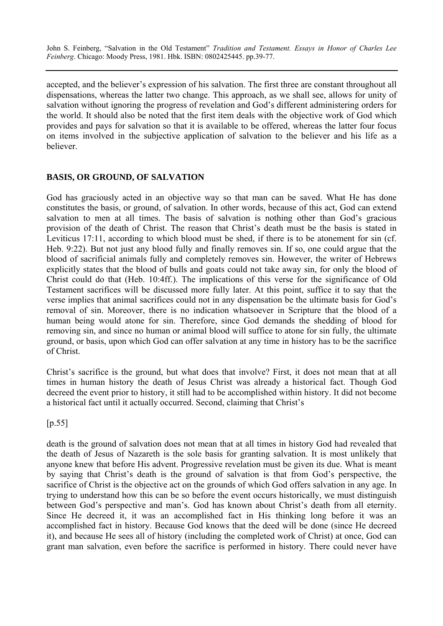accepted, and the believer's expression of his salvation. The first three are constant throughout all dispensations, whereas the latter two change. This approach, as we shall see, allows for unity of salvation without ignoring the progress of revelation and God's different administering orders for the world. It should also be noted that the first item deals with the objective work of God which provides and pays for salvation so that it is available to be offered, whereas the latter four focus on items involved in the subjective application of salvation to the believer and his life as a believer.

# **BASIS, OR GROUND, OF SALVATION**

God has graciously acted in an objective way so that man can be saved. What He has done constitutes the basis, or ground, of salvation. In other words, because of this act, God can extend salvation to men at all times. The basis of salvation is nothing other than God's gracious provision of the death of Christ. The reason that Christ's death must be the basis is stated in Leviticus 17:11, according to which blood must be shed, if there is to be atonement for sin (cf. Heb. 9:22). But not just any blood fully and finally removes sin. If so, one could argue that the blood of sacrificial animals fully and completely removes sin. However, the writer of Hebrews explicitly states that the blood of bulls and goats could not take away sin, for only the blood of Christ could do that (Heb. 10:4ff.). The implications of this verse for the significance of Old Testament sacrifices will be discussed more fully later. At this point, suffice it to say that the verse implies that animal sacrifices could not in any dispensation be the ultimate basis for God's removal of sin. Moreover, there is no indication whatsoever in Scripture that the blood of a human being would atone for sin. Therefore, since God demands the shedding of blood for removing sin, and since no human or animal blood will suffice to atone for sin fully, the ultimate ground, or basis, upon which God can offer salvation at any time in history has to be the sacrifice of Christ.

Christ's sacrifice is the ground, but what does that involve? First, it does not mean that at all times in human history the death of Jesus Christ was already a historical fact. Though God decreed the event prior to history, it still had to be accomplished within history. It did not become a historical fact until it actually occurred. Second, claiming that Christ's

 $[p.55]$ 

death is the ground of salvation does not mean that at all times in history God had revealed that the death of Jesus of Nazareth is the sole basis for granting salvation. It is most unlikely that anyone knew that before His advent. Progressive revelation must be given its due. What is meant by saying that Christ's death is the ground of salvation is that from God's perspective, the sacrifice of Christ is the objective act on the grounds of which God offers salvation in any age. In trying to understand how this can be so before the event occurs historically, we must distinguish between God's perspective and man's. God has known about Christ's death from all eternity. Since He decreed it, it was an accomplished fact in His thinking long before it was an accomplished fact in history. Because God knows that the deed will be done (since He decreed it), and because He sees all of history (including the completed work of Christ) at once, God can grant man salvation, even before the sacrifice is performed in history. There could never have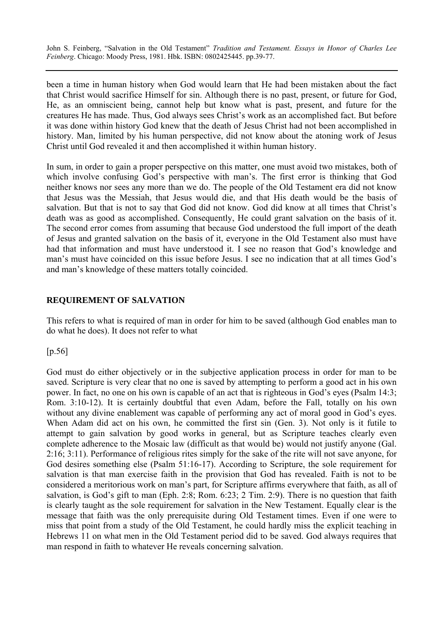been a time in human history when God would learn that He had been mistaken about the fact that Christ would sacrifice Himself for sin. Although there is no past, present, or future for God, He, as an omniscient being, cannot help but know what is past, present, and future for the creatures He has made. Thus, God always sees Christ's work as an accomplished fact. But before it was done within history God knew that the death of Jesus Christ had not been accomplished in history. Man, limited by his human perspective, did not know about the atoning work of Jesus Christ until God revealed it and then accomplished it within human history.

In sum, in order to gain a proper perspective on this matter, one must avoid two mistakes, both of which involve confusing God's perspective with man's. The first error is thinking that God neither knows nor sees any more than we do. The people of the Old Testament era did not know that Jesus was the Messiah, that Jesus would die, and that His death would be the basis of salvation. But that is not to say that God did not know. God did know at all times that Christ's death was as good as accomplished. Consequently, He could grant salvation on the basis of it. The second error comes from assuming that because God understood the full import of the death of Jesus and granted salvation on the basis of it, everyone in the Old Testament also must have had that information and must have understood it. I see no reason that God's knowledge and man's must have coincided on this issue before Jesus. I see no indication that at all times God's and man's knowledge of these matters totally coincided.

# **REQUIREMENT OF SALVATION**

This refers to what is required of man in order for him to be saved (although God enables man to do what he does). It does not refer to what

[p.56]

God must do either objectively or in the subjective application process in order for man to be saved. Scripture is very clear that no one is saved by attempting to perform a good act in his own power. In fact, no one on his own is capable of an act that is righteous in God's eyes (Psalm 14:3; Rom. 3:10-12). It is certainly doubtful that even Adam, before the Fall, totally on his own without any divine enablement was capable of performing any act of moral good in God's eyes. When Adam did act on his own, he committed the first sin (Gen. 3). Not only is it futile to attempt to gain salvation by good works in general, but as Scripture teaches clearly even complete adherence to the Mosaic law (difficult as that would be) would not justify anyone (Gal. 2:16; 3:11). Performance of religious rites simply for the sake of the rite will not save anyone, for God desires something else (Psalm 51:16-17). According to Scripture, the sole requirement for salvation is that man exercise faith in the provision that God has revealed. Faith is not to be considered a meritorious work on man's part, for Scripture affirms everywhere that faith, as all of salvation, is God's gift to man (Eph. 2:8; Rom. 6:23; 2 Tim. 2:9). There is no question that faith is clearly taught as the sole requirement for salvation in the New Testament. Equally clear is the message that faith was the only prerequisite during Old Testament times. Even if one were to miss that point from a study of the Old Testament, he could hardly miss the explicit teaching in Hebrews 11 on what men in the Old Testament period did to be saved. God always requires that man respond in faith to whatever He reveals concerning salvation.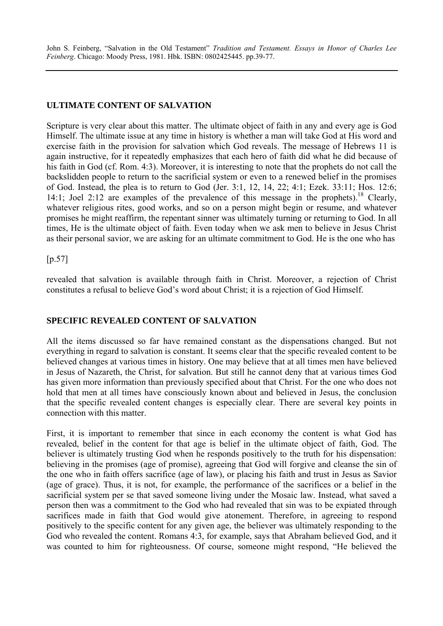# **ULTIMATE CONTENT OF SALVATION**

Scripture is very clear about this matter. The ultimate object of faith in any and every age is God Himself. The ultimate issue at any time in history is whether a man will take God at His word and exercise faith in the provision for salvation which God reveals. The message of Hebrews 11 is again instructive, for it repeatedly emphasizes that each hero of faith did what he did because of his faith in God (cf. Rom. 4:3). Moreover, it is interesting to note that the prophets do not call the backslidden people to return to the sacrificial system or even to a renewed belief in the promises of God. Instead, the plea is to return to God (Jer. 3:1, 12, 14, 22; 4:1; Ezek. 33:11; Hos. 12:6; 14:1; Joel 2:12 are examples of the prevalence of this message in the prophets).<sup>18</sup> Clearly, whatever religious rites, good works, and so on a person might begin or resume, and whatever promises he might reaffirm, the repentant sinner was ultimately turning or returning to God. In all times, He is the ultimate object of faith. Even today when we ask men to believe in Jesus Christ as their personal savior, we are asking for an ultimate commitment to God. He is the one who has

 $[p.57]$ 

revealed that salvation is available through faith in Christ. Moreover, a rejection of Christ constitutes a refusal to believe God's word about Christ; it is a rejection of God Himself.

#### **SPECIFIC REVEALED CONTENT OF SALVATION**

All the items discussed so far have remained constant as the dispensations changed. But not everything in regard to salvation is constant. It seems clear that the specific revealed content to be believed changes at various times in history. One may believe that at all times men have believed in Jesus of Nazareth, the Christ, for salvation. But still he cannot deny that at various times God has given more information than previously specified about that Christ. For the one who does not hold that men at all times have consciously known about and believed in Jesus, the conclusion that the specific revealed content changes is especially clear. There are several key points in connection with this matter.

First, it is important to remember that since in each economy the content is what God has revealed, belief in the content for that age is belief in the ultimate object of faith, God. The believer is ultimately trusting God when he responds positively to the truth for his dispensation: believing in the promises (age of promise), agreeing that God will forgive and cleanse the sin of the one who in faith offers sacrifice (age of law), or placing his faith and trust in Jesus as Savior (age of grace). Thus, it is not, for example, the performance of the sacrifices or a belief in the sacrificial system per se that saved someone living under the Mosaic law. Instead, what saved a person then was a commitment to the God who had revealed that sin was to be expiated through sacrifices made in faith that God would give atonement. Therefore, in agreeing to respond positively to the specific content for any given age, the believer was ultimately responding to the God who revealed the content. Romans 4:3, for example, says that Abraham believed God, and it was counted to him for righteousness. Of course, someone might respond, "He believed the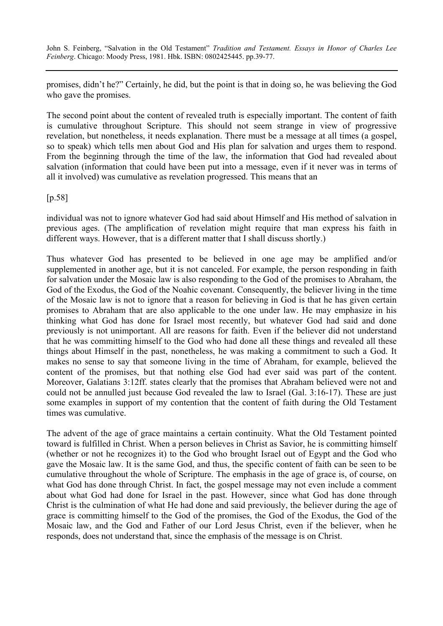promises, didn't he?" Certainly, he did, but the point is that in doing so, he was believing the God who gave the promises.

The second point about the content of revealed truth is especially important. The content of faith is cumulative throughout Scripture. This should not seem strange in view of progressive revelation, but nonetheless, it needs explanation. There must be a message at all times (a gospel, so to speak) which tells men about God and His plan for salvation and urges them to respond. From the beginning through the time of the law, the information that God had revealed about salvation (information that could have been put into a message, even if it never was in terms of all it involved) was cumulative as revelation progressed. This means that an

[p.58]

individual was not to ignore whatever God had said about Himself and His method of salvation in previous ages. (The amplification of revelation might require that man express his faith in different ways. However, that is a different matter that I shall discuss shortly.)

Thus whatever God has presented to be believed in one age may be amplified and/or supplemented in another age, but it is not canceled. For example, the person responding in faith for salvation under the Mosaic law is also responding to the God of the promises to Abraham, the God of the Exodus, the God of the Noahic covenant. Consequently, the believer living in the time of the Mosaic law is not to ignore that a reason for believing in God is that he has given certain promises to Abraham that are also applicable to the one under law. He may emphasize in his thinking what God has done for Israel most recently, but whatever God had said and done previously is not unimportant. All are reasons for faith. Even if the believer did not understand that he was committing himself to the God who had done all these things and revealed all these things about Himself in the past, nonetheless, he was making a commitment to such a God. It makes no sense to say that someone living in the time of Abraham, for example, believed the content of the promises, but that nothing else God had ever said was part of the content. Moreover, Galatians 3:12ff. states clearly that the promises that Abraham believed were not and could not be annulled just because God revealed the law to Israel (Gal. 3:16-17). These are just some examples in support of my contention that the content of faith during the Old Testament times was cumulative.

The advent of the age of grace maintains a certain continuity. What the Old Testament pointed toward is fulfilled in Christ. When a person believes in Christ as Savior, he is committing himself (whether or not he recognizes it) to the God who brought Israel out of Egypt and the God who gave the Mosaic law. It is the same God, and thus, the specific content of faith can be seen to be cumulative throughout the whole of Scripture. The emphasis in the age of grace is, of course, on what God has done through Christ. In fact, the gospel message may not even include a comment about what God had done for Israel in the past. However, since what God has done through Christ is the culmination of what He had done and said previously, the believer during the age of grace is committing himself to the God of the promises, the God of the Exodus, the God of the Mosaic law, and the God and Father of our Lord Jesus Christ, even if the believer, when he responds, does not understand that, since the emphasis of the message is on Christ.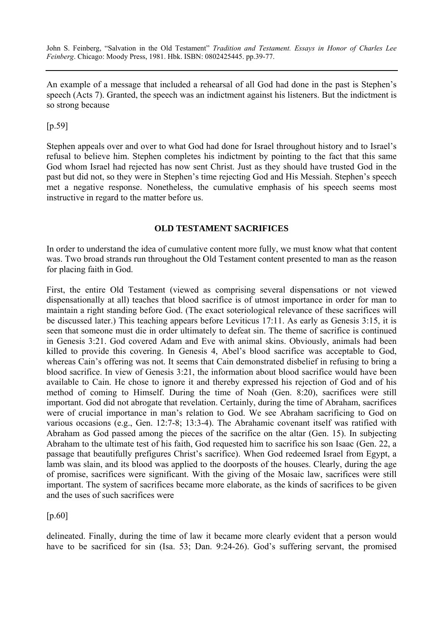An example of a message that included a rehearsal of all God had done in the past is Stephen's speech (Acts 7). Granted, the speech was an indictment against his listeners. But the indictment is so strong because

[p.59]

Stephen appeals over and over to what God had done for Israel throughout history and to Israel's refusal to believe him. Stephen completes his indictment by pointing to the fact that this same God whom Israel had rejected has now sent Christ. Just as they should have trusted God in the past but did not, so they were in Stephen's time rejecting God and His Messiah. Stephen's speech met a negative response. Nonetheless, the cumulative emphasis of his speech seems most instructive in regard to the matter before us.

# **OLD TESTAMENT SACRIFICES**

In order to understand the idea of cumulative content more fully, we must know what that content was. Two broad strands run throughout the Old Testament content presented to man as the reason for placing faith in God.

First, the entire Old Testament (viewed as comprising several dispensations or not viewed dispensationally at all) teaches that blood sacrifice is of utmost importance in order for man to maintain a right standing before God. (The exact soteriological relevance of these sacrifices will be discussed later.) This teaching appears before Leviticus 17:11. As early as Genesis 3:15, it is seen that someone must die in order ultimately to defeat sin. The theme of sacrifice is continued in Genesis 3:21. God covered Adam and Eve with animal skins. Obviously, animals had been killed to provide this covering. In Genesis 4, Abel's blood sacrifice was acceptable to God, whereas Cain's offering was not. It seems that Cain demonstrated disbelief in refusing to bring a blood sacrifice. In view of Genesis 3:21, the information about blood sacrifice would have been available to Cain. He chose to ignore it and thereby expressed his rejection of God and of his method of coming to Himself. During the time of Noah (Gen. 8:20), sacrifices were still important. God did not abrogate that revelation. Certainly, during the time of Abraham, sacrifices were of crucial importance in man's relation to God. We see Abraham sacrificing to God on various occasions (e.g., Gen. 12:7-8; 13:3-4). The Abrahamic covenant itself was ratified with Abraham as God passed among the pieces of the sacrifice on the altar (Gen. 15). In subjecting Abraham to the ultimate test of his faith, God requested him to sacrifice his son Isaac (Gen. 22, a passage that beautifully prefigures Christ's sacrifice). When God redeemed Israel from Egypt, a lamb was slain, and its blood was applied to the doorposts of the houses. Clearly, during the age of promise, sacrifices were significant. With the giving of the Mosaic law, sacrifices were still important. The system of sacrifices became more elaborate, as the kinds of sacrifices to be given and the uses of such sacrifices were

[p.60]

delineated. Finally, during the time of law it became more clearly evident that a person would have to be sacrificed for sin (Isa. 53; Dan. 9:24-26). God's suffering servant, the promised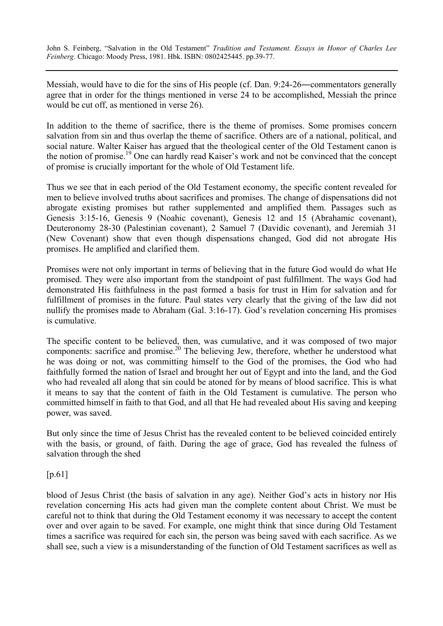Messiah, would have to die for the sins of His people (cf. Dan. 9:24-26—commentators generally agree that in order for the things mentioned in verse 24 to be accomplished, Messiah the prince would be cut off, as mentioned in verse 26).

In addition to the theme of sacrifice, there is the theme of promises. Some promises concern salvation from sin and thus overlap the theme of sacrifice. Others are of a national, political, and social nature. Walter Kaiser has argued that the theological center of the Old Testament canon is the notion of promise.19 One can hardly read Kaiser's work and not be convinced that the concept of promise is crucially important for the whole of Old Testament life.

Thus we see that in each period of the Old Testament economy, the specific content revealed for men to believe involved truths about sacrifices and promises. The change of dispensations did not abrogate existing promises but rather supplemented and amplified them. Passages such as Genesis 3:15-16, Genesis 9 (Noahic covenant), Genesis 12 and 15 (Abrahamic covenant), Deuteronomy 28-30 (Palestinian covenant), 2 Samuel 7 (Davidic covenant), and Jeremiah 31 (New Covenant) show that even though dispensations changed, God did not abrogate His promises. He amplified and clarified them.

Promises were not only important in terms of believing that in the future God would do what He promised. They were also important from the standpoint of past fulfillment. The ways God had demonstrated His faithfulness in the past formed a basis for trust in Him for salvation and for fulfillment of promises in the future. Paul states very clearly that the giving of the law did not nullify the promises made to Abraham (Gal. 3:16-17). God's revelation concerning His promises is cumulative.

The specific content to be believed, then, was cumulative, and it was composed of two major components: sacrifice and promise.<sup>20</sup> The believing Jew, therefore, whether he understood what he was doing or not, was committing himself to the God of the promises, the God who had faithfully formed the nation of Israel and brought her out of Egypt and into the land, and the God who had revealed all along that sin could be atoned for by means of blood sacrifice. This is what it means to say that the content of faith in the Old Testament is cumulative. The person who committed himself in faith to that God, and all that He had revealed about His saving and keeping power, was saved.

But only since the time of Jesus Christ has the revealed content to be believed coincided entirely with the basis, or ground, of faith. During the age of grace, God has revealed the fulness of salvation through the shed

#### [p.61]

blood of Jesus Christ (the basis of salvation in any age). Neither God's acts in history nor His revelation concerning His acts had given man the complete content about Christ. We must be careful not to think that during the Old Testament economy it was necessary to accept the content over and over again to be saved. For example, one might think that since during Old Testament times a sacrifice was required for each sin, the person was being saved with each sacrifice. As we shall see, such a view is a misunderstanding of the function of Old Testament sacrifices as well as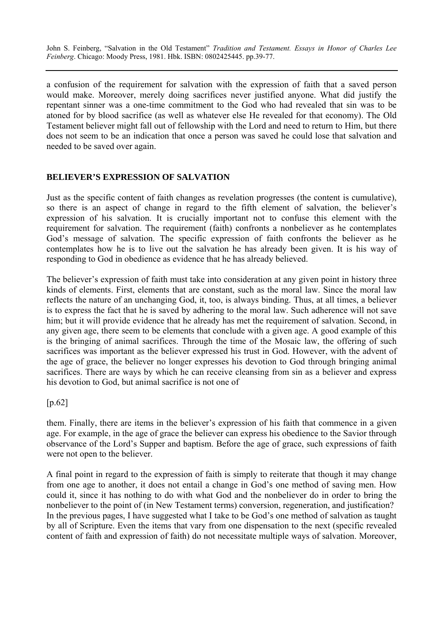a confusion of the requirement for salvation with the expression of faith that a saved person would make. Moreover, merely doing sacrifices never justified anyone. What did justify the repentant sinner was a one-time commitment to the God who had revealed that sin was to be atoned for by blood sacrifice (as well as whatever else He revealed for that economy). The Old Testament believer might fall out of fellowship with the Lord and need to return to Him, but there does not seem to be an indication that once a person was saved he could lose that salvation and needed to be saved over again.

# **BELIEVER'S EXPRESSION OF SALVATION**

Just as the specific content of faith changes as revelation progresses (the content is cumulative), so there is an aspect of change in regard to the fifth element of salvation, the believer's expression of his salvation. It is crucially important not to confuse this element with the requirement for salvation. The requirement (faith) confronts a nonbeliever as he contemplates God's message of salvation. The specific expression of faith confronts the believer as he contemplates how he is to live out the salvation he has already been given. It is his way of responding to God in obedience as evidence that he has already believed.

The believer's expression of faith must take into consideration at any given point in history three kinds of elements. First, elements that are constant, such as the moral law. Since the moral law reflects the nature of an unchanging God, it, too, is always binding. Thus, at all times, a believer is to express the fact that he is saved by adhering to the moral law. Such adherence will not save him; but it will provide evidence that he already has met the requirement of salvation. Second, in any given age, there seem to be elements that conclude with a given age. A good example of this is the bringing of animal sacrifices. Through the time of the Mosaic law, the offering of such sacrifices was important as the believer expressed his trust in God. However, with the advent of the age of grace, the believer no longer expresses his devotion to God through bringing animal sacrifices. There are ways by which he can receive cleansing from sin as a believer and express his devotion to God, but animal sacrifice is not one of

#### [p.62]

them. Finally, there are items in the believer's expression of his faith that commence in a given age. For example, in the age of grace the believer can express his obedience to the Savior through observance of the Lord's Supper and baptism. Before the age of grace, such expressions of faith were not open to the believer.

A final point in regard to the expression of faith is simply to reiterate that though it may change from one age to another, it does not entail a change in God's one method of saving men. How could it, since it has nothing to do with what God and the nonbeliever do in order to bring the nonbeliever to the point of (in New Testament terms) conversion, regeneration, and justification? In the previous pages, I have suggested what I take to be God's one method of salvation as taught by all of Scripture. Even the items that vary from one dispensation to the next (specific revealed content of faith and expression of faith) do not necessitate multiple ways of salvation. Moreover,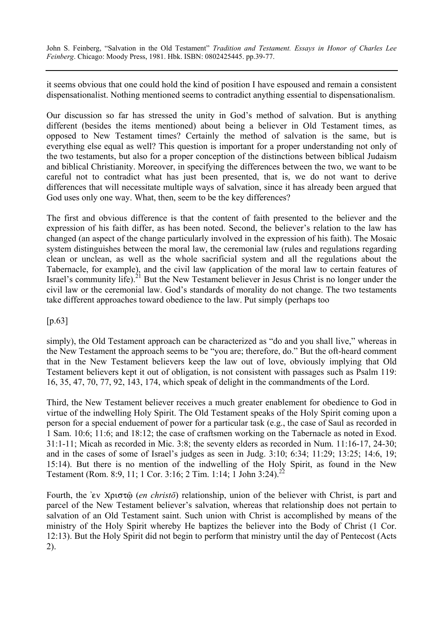it seems obvious that one could hold the kind of position I have espoused and remain a consistent dispensationalist. Nothing mentioned seems to contradict anything essential to dispensationalism.

Our discussion so far has stressed the unity in God's method of salvation. But is anything different (besides the items mentioned) about being a believer in Old Testament times, as opposed to New Testament times? Certainly the method of salvation is the same, but is everything else equal as well? This question is important for a proper understanding not only of the two testaments, but also for a proper conception of the distinctions between biblical Judaism and biblical Christianity. Moreover, in specifying the differences between the two, we want to be careful not to contradict what has just been presented, that is, we do not want to derive differences that will necessitate multiple ways of salvation, since it has already been argued that God uses only one way. What, then, seem to be the key differences?

The first and obvious difference is that the content of faith presented to the believer and the expression of his faith differ, as has been noted. Second, the believer's relation to the law has changed (an aspect of the change particularly involved in the expression of his faith). The Mosaic system distinguishes between the moral law, the ceremonial law (rules and regulations regarding clean or unclean, as well as the whole sacrificial system and all the regulations about the Tabernacle, for example), and the civil law (application of the moral law to certain features of Israel's community life).<sup>21</sup> But the New Testament believer in Jesus Christ is no longer under the civil law or the ceremonial law. God's standards of morality do not change. The two testaments take different approaches toward obedience to the law. Put simply (perhaps too

[p.63]

simply), the Old Testament approach can be characterized as "do and you shall live," whereas in the New Testament the approach seems to be "you are; therefore, do." But the oft-heard comment that in the New Testament believers keep the law out of love, obviously implying that Old Testament believers kept it out of obligation, is not consistent with passages such as Psalm 119: 16, 35, 47, 70, 77, 92, 143, 174, which speak of delight in the commandments of the Lord.

Third, the New Testament believer receives a much greater enablement for obedience to God in virtue of the indwelling Holy Spirit. The Old Testament speaks of the Holy Spirit coming upon a person for a special enduement of power for a particular task (e.g., the case of Saul as recorded in 1 Sam. 10:6; 11:6; and 18:12; the case of craftsmen working on the Tabernacle as noted in Exod. 31:1-11; Micah as recorded in Mic. 3:8; the seventy elders as recorded in Num. 11:16-17, 24-30; and in the cases of some of Israel's judges as seen in Judg. 3:10; 6:34; 11:29; 13:25; 14:6, 19; 15:14). But there is no mention of the indwelling of the Holy Spirit, as found in the New Testament (Rom. 8:9, 11; 1 Cor. 3:16; 2 Tim. 1:14; 1 John 3:24).<sup>22</sup>

Fourth, the 'εν Χριστῶ (*en christō*) relationship, union of the believer with Christ, is part and parcel of the New Testament believer's salvation, whereas that relationship does not pertain to salvation of an Old Testament saint. Such union with Christ is accomplished by means of the ministry of the Holy Spirit whereby He baptizes the believer into the Body of Christ (1 Cor. 12:13). But the Holy Spirit did not begin to perform that ministry until the day of Pentecost (Acts 2).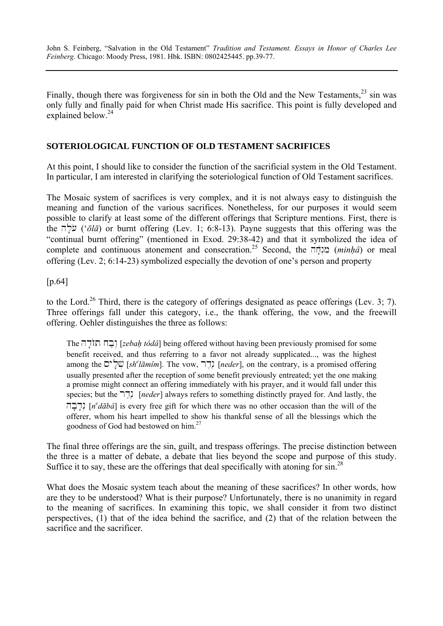Finally, though there was forgiveness for sin in both the Old and the New Testaments,  $2^3$  sin was only fully and finally paid for when Christ made His sacrifice. This point is fully developed and explained below.<sup>24</sup>

# **SOTERIOLOGICAL FUNCTION OF OLD TESTAMENT SACRIFICES**

At this point, I should like to consider the function of the sacrificial system in the Old Testament. In particular, I am interested in clarifying the soteriological function of Old Testament sacrifices.

The Mosaic system of sacrifices is very complex, and it is not always easy to distinguish the meaning and function of the various sacrifices. Nonetheless, for our purposes it would seem possible to clarify at least some of the different offerings that Scripture mentions. First, there is the  $\vec{b}$  (' $\vec{b}$  $\vec{a}$ ) or burnt offering (Lev. 1; 6:8-13). Payne suggests that this offering was the "continual burnt offering" (mentioned in Exod. 29:38-42) and that it symbolized the idea of complete and continuous atonement and consecration.<sup>25</sup> Second, the מוֹחָה (*minha*) or meal offering (Lev. 2; 6:14-23) symbolized especially the devotion of one's person and property

# [p.64]

to the Lord.<sup>26</sup> Third, there is the category of offerings designated as peace offerings (Lev. 3; 7). Three offerings fall under this category, i.e., the thank offering, the vow, and the freewill offering. Oehler distinguishes the three as follows:

The **הזדה** [*zebah tôdâ*] being offered without having been previously promised for some benefit received, and thus referring to a favor not already supplicated..., was the highest among the שְׂלָ<sup>ּ</sup>ים [*sh<sup>e</sup>lāmîm*]. The vow, נְרֶר [*neder*], on the contrary, is a promised offering usually presented after the reception of some benefit previously entreated; yet the one making a promise might connect an offering immediately with his prayer, and it would fall under this species; but the *[neder]* always refers to something distinctly prayed for. And lastly, the hb;d;n] [*n<sup>e</sup> dābâ*] is every free gift for which there was no other occasion than the will of the offerer, whom his heart impelled to show his thankful sense of all the blessings which the goodness of God had bestowed on him.27

The final three offerings are the sin, guilt, and trespass offerings. The precise distinction between the three is a matter of debate, a debate that lies beyond the scope and purpose of this study. Suffice it to say, these are the offerings that deal specifically with atoning for  $\sin^{28}$ 

What does the Mosaic system teach about the meaning of these sacrifices? In other words, how are they to be understood? What is their purpose? Unfortunately, there is no unanimity in regard to the meaning of sacrifices. In examining this topic, we shall consider it from two distinct perspectives, (1) that of the idea behind the sacrifice, and (2) that of the relation between the sacrifice and the sacrificer.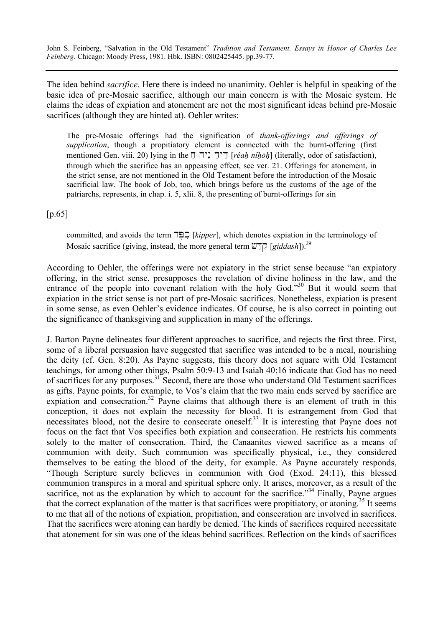The idea behind *sacrifice*. Here there is indeed no unanimity. Oehler is helpful in speaking of the basic idea of pre-Mosaic sacrifice, although our main concern is with the Mosaic system. He claims the ideas of expiation and atonement are not the most significant ideas behind pre-Mosaic sacrifices (although they are hinted at). Oehler writes:

The pre-Mosaic offerings had the signification of *thank-offerings and offerings of supplication*, though a propitiatory element is connected with the burnt-offering (first mentioned Gen. viii. 20) lying in the יָחַ (יָה הַ [*rêah nîḥōḥ*] (literally, odor of satisfaction), through which the sacrifice has an appeasing effect, see ver. 21. Offerings for atonement, in the strict sense, are not mentioned in the Old Testament before the introduction of the Mosaic sacrificial law. The book of Job, too, which brings before us the customs of the age of the patriarchs, represents, in chap. i. 5, xlii. 8, the presenting of burnt-offerings for sin

# [p.65]

committed, and avoids the term  $\exists \exists$  [*kipper*], which denotes expiation in the terminology of Mosaic sacrifice (giving, instead, the more general term קְדָ<sup>י</sup>שׁ [*giddash*]).<sup>29</sup>

According to Oehler, the offerings were not expiatory in the strict sense because "an expiatory offering, in the strict sense, presupposes the revelation of divine holiness in the law, and the entrance of the people into covenant relation with the holy God." $30$  But it would seem that expiation in the strict sense is not part of pre-Mosaic sacrifices. Nonetheless, expiation is present in some sense, as even Oehler's evidence indicates. Of course, he is also correct in pointing out the significance of thanksgiving and supplication in many of the offerings.

J. Barton Payne delineates four different approaches to sacrifice, and rejects the first three. First, some of a liberal persuasion have suggested that sacrifice was intended to be a meal, nourishing the deity (cf. Gen. 8:20). As Payne suggests, this theory does not square with Old Testament teachings, for among other things, Psalm 50:9-13 and Isaiah 40:16 indicate that God has no need of sacrifices for any purposes.31 Second, there are those who understand Old Testament sacrifices as gifts. Payne points, for example, to Vos's claim that the two main ends served by sacrifice are expiation and consecration.<sup>32</sup> Payne claims that although there is an element of truth in this conception, it does not explain the necessity for blood. It is estrangement from God that necessitates blood, not the desire to consecrate oneself.<sup>33</sup> It is interesting that Payne does not focus on the fact that Vos specifies both expiation and consecration. He restricts his comments solely to the matter of consecration. Third, the Canaanites viewed sacrifice as a means of communion with deity. Such communion was specifically physical, i.e., they considered themselves to be eating the blood of the deity, for example. As Payne accurately responds, "Though Scripture surely believes in communion with God (Exod. 24:11), this blessed communion transpires in a moral and spiritual sphere only. It arises, moreover, as a result of the sacrifice, not as the explanation by which to account for the sacrifice."<sup>34</sup> Finally, Payne argues that the correct explanation of the matter is that sacrifices were propitiatory, or atoning.<sup>35</sup> It seems to me that all of the notions of expiation, propitiation, and consecration are involved in sacrifices. That the sacrifices were atoning can hardly be denied. The kinds of sacrifices required necessitate that atonement for sin was one of the ideas behind sacrifices. Reflection on the kinds of sacrifices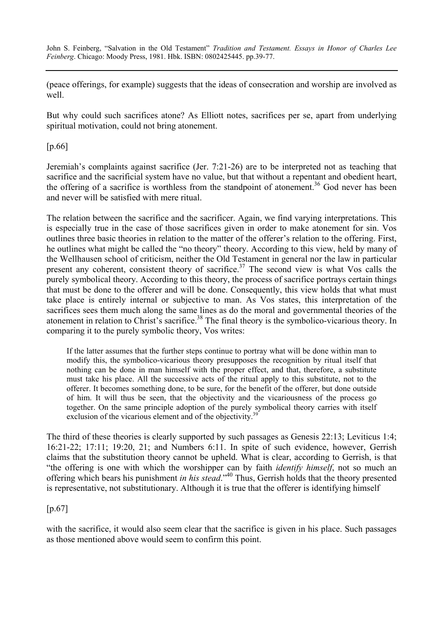(peace offerings, for example) suggests that the ideas of consecration and worship are involved as well.

But why could such sacrifices atone? As Elliott notes, sacrifices per se, apart from underlying spiritual motivation, could not bring atonement.

[p.66]

Jeremiah's complaints against sacrifice (Jer. 7:21-26) are to be interpreted not as teaching that sacrifice and the sacrificial system have no value, but that without a repentant and obedient heart, the offering of a sacrifice is worthless from the standpoint of atonement.<sup>36</sup> God never has been and never will be satisfied with mere ritual.

The relation between the sacrifice and the sacrificer. Again, we find varying interpretations. This is especially true in the case of those sacrifices given in order to make atonement for sin. Vos outlines three basic theories in relation to the matter of the offerer's relation to the offering. First, he outlines what might be called the "no theory" theory. According to this view, held by many of the Wellhausen school of criticism, neither the Old Testament in general nor the law in particular present any coherent, consistent theory of sacrifice.<sup>37</sup> The second view is what Vos calls the purely symbolical theory. According to this theory, the process of sacrifice portrays certain things that must be done to the offerer and will be done. Consequently, this view holds that what must take place is entirely internal or subjective to man. As Vos states, this interpretation of the sacrifices sees them much along the same lines as do the moral and governmental theories of the atonement in relation to Christ's sacrifice.<sup>38</sup> The final theory is the symbolico-vicarious theory. In comparing it to the purely symbolic theory, Vos writes:

If the latter assumes that the further steps continue to portray what will be done within man to modify this, the symbolico-vicarious theory presupposes the recognition by ritual itself that nothing can be done in man himself with the proper effect, and that, therefore, a substitute must take his place. All the successive acts of the ritual apply to this substitute, not to the offerer. It becomes something done, to be sure, for the benefit of the offerer, but done outside of him. It will thus be seen, that the objectivity and the vicariousness of the process go together. On the same principle adoption of the purely symbolical theory carries with itself exclusion of the vicarious element and of the objectivity.<sup>39</sup>

The third of these theories is clearly supported by such passages as Genesis 22:13; Leviticus 1:4; 16:21-22; 17:11; 19:20, 21; and Numbers 6:11. In spite of such evidence, however, Gerrish claims that the substitution theory cannot be upheld. What is clear, according to Gerrish, is that "the offering is one with which the worshipper can by faith *identify himself*, not so much an offering which bears his punishment *in his stead*."40 Thus, Gerrish holds that the theory presented is representative, not substitutionary. Although it is true that the offerer is identifying himself

# [p.67]

with the sacrifice, it would also seem clear that the sacrifice is given in his place. Such passages as those mentioned above would seem to confirm this point.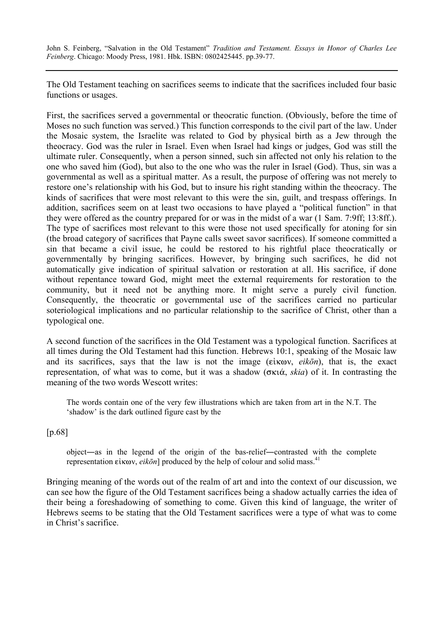The Old Testament teaching on sacrifices seems to indicate that the sacrifices included four basic functions or usages.

First, the sacrifices served a governmental or theocratic function. (Obviously, before the time of Moses no such function was served.) This function corresponds to the civil part of the law. Under the Mosaic system, the Israelite was related to God by physical birth as a Jew through the theocracy. God was the ruler in Israel. Even when Israel had kings or judges, God was still the ultimate ruler. Consequently, when a person sinned, such sin affected not only his relation to the one who saved him (God), but also to the one who was the ruler in Israel (God). Thus, sin was a governmental as well as a spiritual matter. As a result, the purpose of offering was not merely to restore one's relationship with his God, but to insure his right standing within the theocracy. The kinds of sacrifices that were most relevant to this were the sin, guilt, and trespass offerings. In addition, sacrifices seem on at least two occasions to have played a "political function" in that they were offered as the country prepared for or was in the midst of a war (1 Sam. 7:9ff; 13:8ff.). The type of sacrifices most relevant to this were those not used specifically for atoning for sin (the broad category of sacrifices that Payne calls sweet savor sacrifices). If someone committed a sin that became a civil issue, he could be restored to his rightful place theocratically or governmentally by bringing sacrifices. However, by bringing such sacrifices, he did not automatically give indication of spiritual salvation or restoration at all. His sacrifice, if done without repentance toward God, might meet the external requirements for restoration to the community, but it need not be anything more. It might serve a purely civil function. Consequently, the theocratic or governmental use of the sacrifices carried no particular soteriological implications and no particular relationship to the sacrifice of Christ, other than a typological one.

A second function of the sacrifices in the Old Testament was a typological function. Sacrifices at all times during the Old Testament had this function. Hebrews 10:1, speaking of the Mosaic law and its sacrifices, says that the law is not the image ( $\epsilon$ *ikov*,  $eik\bar{o}n$ ), that is, the exact representation, of what was to come, but it was a shadow ( $\sigma \kappa i \alpha$ , *skia*) of it. In contrasting the meaning of the two words Wescott writes:

The words contain one of the very few illustrations which are taken from art in the N.T. The 'shadow' is the dark outlined figure cast by the

[p.68]

object―as in the legend of the origin of the bas-relief―contrasted with the complete representation  $\epsilon \dot{\kappa} \omega v$ ,  $\epsilon \dot{\kappa} \bar{\omega} n$ ] produced by the help of colour and solid mass.<sup>41</sup>

Bringing meaning of the words out of the realm of art and into the context of our discussion, we can see how the figure of the Old Testament sacrifices being a shadow actually carries the idea of their being a foreshadowing of something to come. Given this kind of language, the writer of Hebrews seems to be stating that the Old Testament sacrifices were a type of what was to come in Christ's sacrifice.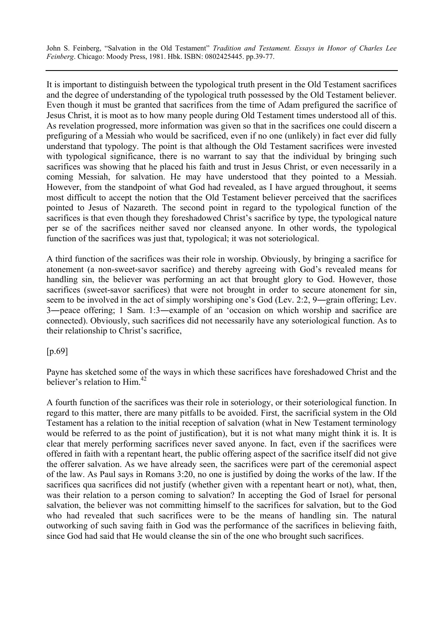It is important to distinguish between the typological truth present in the Old Testament sacrifices and the degree of understanding of the typological truth possessed by the Old Testament believer. Even though it must be granted that sacrifices from the time of Adam prefigured the sacrifice of Jesus Christ, it is moot as to how many people during Old Testament times understood all of this. As revelation progressed, more information was given so that in the sacrifices one could discern a prefiguring of a Messiah who would be sacrificed, even if no one (unlikely) in fact ever did fully understand that typology. The point is that although the Old Testament sacrifices were invested with typological significance, there is no warrant to say that the individual by bringing such sacrifices was showing that he placed his faith and trust in Jesus Christ, or even necessarily in a coming Messiah, for salvation. He may have understood that they pointed to a Messiah. However, from the standpoint of what God had revealed, as I have argued throughout, it seems most difficult to accept the notion that the Old Testament believer perceived that the sacrifices pointed to Jesus of Nazareth. The second point in regard to the typological function of the sacrifices is that even though they foreshadowed Christ's sacrifice by type, the typological nature per se of the sacrifices neither saved nor cleansed anyone. In other words, the typological function of the sacrifices was just that, typological; it was not soteriological.

A third function of the sacrifices was their role in worship. Obviously, by bringing a sacrifice for atonement (a non-sweet-savor sacrifice) and thereby agreeing with God's revealed means for handling sin, the believer was performing an act that brought glory to God. However, those sacrifices (sweet-savor sacrifices) that were not brought in order to secure atonement for sin, seem to be involved in the act of simply worshiping one's God (Lev. 2:2, 9―grain offering; Lev. 3―peace offering; 1 Sam. 1:3―example of an 'occasion on which worship and sacrifice are connected). Obviously, such sacrifices did not necessarily have any soteriological function. As to their relationship to Christ's sacrifice,

[p.69]

Payne has sketched some of the ways in which these sacrifices have foreshadowed Christ and the believer's relation to Him $^{42}$ 

A fourth function of the sacrifices was their role in soteriology, or their soteriological function. In regard to this matter, there are many pitfalls to be avoided. First, the sacrificial system in the Old Testament has a relation to the initial reception of salvation (what in New Testament terminology would be referred to as the point of justification), but it is not what many might think it is. It is clear that merely performing sacrifices never saved anyone. In fact, even if the sacrifices were offered in faith with a repentant heart, the public offering aspect of the sacrifice itself did not give the offerer salvation. As we have already seen, the sacrifices were part of the ceremonial aspect of the law. As Paul says in Romans 3:20, no one is justified by doing the works of the law. If the sacrifices qua sacrifices did not justify (whether given with a repentant heart or not), what, then, was their relation to a person coming to salvation? In accepting the God of Israel for personal salvation, the believer was not committing himself to the sacrifices for salvation, but to the God who had revealed that such sacrifices were to be the means of handling sin. The natural outworking of such saving faith in God was the performance of the sacrifices in believing faith, since God had said that He would cleanse the sin of the one who brought such sacrifices.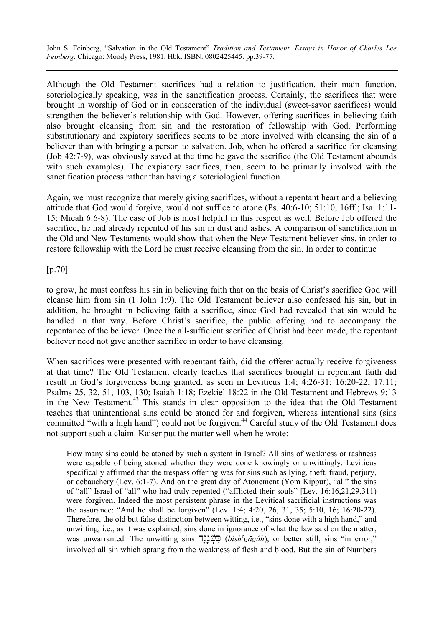Although the Old Testament sacrifices had a relation to justification, their main function, soteriologically speaking, was in the sanctification process. Certainly, the sacrifices that were brought in worship of God or in consecration of the individual (sweet-savor sacrifices) would strengthen the believer's relationship with God. However, offering sacrifices in believing faith also brought cleansing from sin and the restoration of fellowship with God. Performing substitutionary and expiatory sacrifices seems to be more involved with cleansing the sin of a believer than with bringing a person to salvation. Job, when he offered a sacrifice for cleansing (Job 42:7-9), was obviously saved at the time he gave the sacrifice (the Old Testament abounds with such examples). The expiatory sacrifices, then, seem to be primarily involved with the sanctification process rather than having a soteriological function.

Again, we must recognize that merely giving sacrifices, without a repentant heart and a believing attitude that God would forgive, would not suffice to atone (Ps. 40:6-10; 51:10, 16ff.; Isa. 1:11- 15; Micah 6:6-8). The case of Job is most helpful in this respect as well. Before Job offered the sacrifice, he had already repented of his sin in dust and ashes. A comparison of sanctification in the Old and New Testaments would show that when the New Testament believer sins, in order to restore fellowship with the Lord he must receive cleansing from the sin. In order to continue

[p.70]

to grow, he must confess his sin in believing faith that on the basis of Christ's sacrifice God will cleanse him from sin (1 John 1:9). The Old Testament believer also confessed his sin, but in addition, he brought in believing faith a sacrifice, since God had revealed that sin would be handled in that way. Before Christ's sacrifice, the public offering had to accompany the repentance of the believer. Once the all-sufficient sacrifice of Christ had been made, the repentant believer need not give another sacrifice in order to have cleansing.

When sacrifices were presented with repentant faith, did the offerer actually receive forgiveness at that time? The Old Testament clearly teaches that sacrifices brought in repentant faith did result in God's forgiveness being granted, as seen in Leviticus 1:4; 4:26-31; 16:20-22; 17:11; Psalms 25, 32, 51, 103, 130; Isaiah 1:18; Ezekiel 18:22 in the Old Testament and Hebrews 9:13 in the New Testament.<sup>43</sup> This stands in clear opposition to the idea that the Old Testament teaches that unintentional sins could be atoned for and forgiven, whereas intentional sins (sins committed "with a high hand") could not be forgiven.<sup>44</sup> Careful study of the Old Testament does not support such a claim. Kaiser put the matter well when he wrote:

How many sins could be atoned by such a system in Israel? All sins of weakness or rashness were capable of being atoned whether they were done knowingly or unwittingly. Leviticus specifically affirmed that the trespass offering was for sins such as lying, theft, fraud, perjury, or debauchery (Lev. 6:1-7). And on the great day of Atonement (Yom Kippur), "all" the sins of "all" Israel of "all" who had truly repented ("afflicted their souls" [Lev. 16:16,21,29,311) were forgiven. Indeed the most persistent phrase in the Levitical sacrificial instructions was the assurance: "And he shall be forgiven" (Lev. 1:4; 4:20, 26, 31, 35; 5:10, 16; 16:20-22). Therefore, the old but false distinction between witting, i.e., "sins done with a high hand," and unwitting, i.e., as it was explained, sins done in ignorance of what the law said on the matter, was unwarranted. The unwitting sins  $\overline{\psi}$  (*bish<sup>e</sup>gāgâh*), or better still, sins "in error," involved all sin which sprang from the weakness of flesh and blood. But the sin of Numbers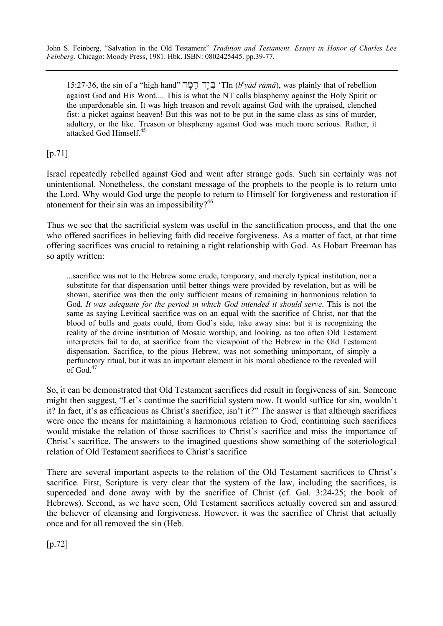15:27-36, the sin of a "high hand" בְּיָד רְמָה 'TIn (*b<sup>e</sup>yād rāmâ*), was plainly that of rebellion against God and His Word.... This is what the NT calls blasphemy against the Holy Spirit or the unpardonable sin. It was high treason and revolt against God with the upraised, clenched fist: a picket against heaven! But this was not to be put in the same class as sins of murder, adultery, or the like. Treason or blasphemy against God was much more serious. Rather, it attacked God Himself.<sup>45</sup>

[p.71]

Israel repeatedly rebelled against God and went after strange gods. Such sin certainly was not unintentional. Nonetheless, the constant message of the prophets to the people is to return unto the Lord. Why would God urge the people to return to Himself for forgiveness and restoration if atonement for their sin was an impossibility? $46$ 

Thus we see that the sacrificial system was useful in the sanctification process, and that the one who offered sacrifices in believing faith did receive forgiveness. As a matter of fact, at that time offering sacrifices was crucial to retaining a right relationship with God. As Hobart Freeman has so aptly written:

...sacrifice was not to the Hebrew some crude, temporary, and merely typical institution, nor a substitute for that dispensation until better things were provided by revelation, but as will be shown, sacrifice was then the only sufficient means of remaining in harmonious relation to God. *It was adequate for the period in which God intended it should serve*. This is not the same as saying Levitical sacrifice was on an equal with the sacrifice of Christ, nor that the blood of bulls and goats could, from God's side, take away sins: but it is recognizing the reality of the divine institution of Mosaic worship, and looking, as too often Old Testament interpreters fail to do, at sacrifice from the viewpoint of the Hebrew in the Old Testament dispensation. Sacrifice, to the pious Hebrew, was not something unimportant, of simply a perfunctory ritual, but it was an important element in his moral obedience to the revealed will of God. $47$ 

So, it can be demonstrated that Old Testament sacrifices did result in forgiveness of sin. Someone might then suggest, "Let's continue the sacrificial system now. It would suffice for sin, wouldn't it? In fact, it's as efficacious as Christ's sacrifice, isn't it?" The answer is that although sacrifices were once the means for maintaining a harmonious relation to God, continuing such sacrifices would mistake the relation of those sacrifices to Christ's sacrifice and miss the importance of Christ's sacrifice. The answers to the imagined questions show something of the soteriological relation of Old Testament sacrifices to Christ's sacrifice

There are several important aspects to the relation of the Old Testament sacrifices to Christ's sacrifice. First, Scripture is very clear that the system of the law, including the sacrifices, is superceded and done away with by the sacrifice of Christ (cf. Gal. 3:24-25; the book of Hebrews). Second, as we have seen, Old Testament sacrifices actually covered sin and assured the believer of cleansing and forgiveness. However, it was the sacrifice of Christ that actually once and for all removed the sin (Heb.

[p.72]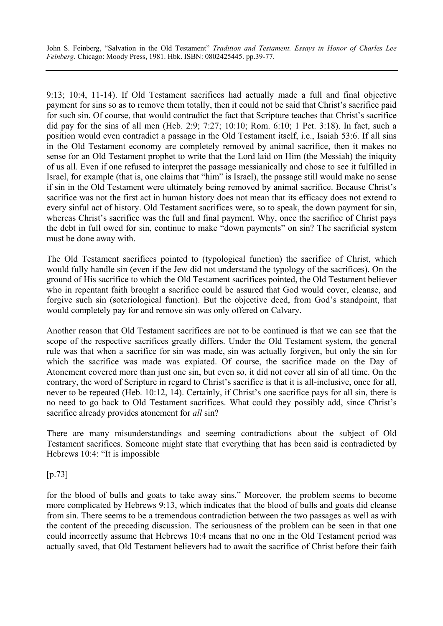9:13; 10:4, 11-14). If Old Testament sacrifices had actually made a full and final objective payment for sins so as to remove them totally, then it could not be said that Christ's sacrifice paid for such sin. Of course, that would contradict the fact that Scripture teaches that Christ's sacrifice did pay for the sins of all men (Heb. 2:9; 7:27; 10:10; Rom. 6:10; 1 Pet. 3:18). In fact, such a position would even contradict a passage in the Old Testament itself, i.e., Isaiah 53:6. If all sins in the Old Testament economy are completely removed by animal sacrifice, then it makes no sense for an Old Testament prophet to write that the Lord laid on Him (the Messiah) the iniquity of us all. Even if one refused to interpret the passage messianically and chose to see it fulfilled in Israel, for example (that is, one claims that "him" is Israel), the passage still would make no sense if sin in the Old Testament were ultimately being removed by animal sacrifice. Because Christ's sacrifice was not the first act in human history does not mean that its efficacy does not extend to every sinful act of history. Old Testament sacrifices were, so to speak, the down payment for sin, whereas Christ's sacrifice was the full and final payment. Why, once the sacrifice of Christ pays the debt in full owed for sin, continue to make "down payments" on sin? The sacrificial system must be done away with.

The Old Testament sacrifices pointed to (typological function) the sacrifice of Christ, which would fully handle sin (even if the Jew did not understand the typology of the sacrifices). On the ground of His sacrifice to which the Old Testament sacrifices pointed, the Old Testament believer who in repentant faith brought a sacrifice could be assured that God would cover, cleanse, and forgive such sin (soteriological function). But the objective deed, from God's standpoint, that would completely pay for and remove sin was only offered on Calvary.

Another reason that Old Testament sacrifices are not to be continued is that we can see that the scope of the respective sacrifices greatly differs. Under the Old Testament system, the general rule was that when a sacrifice for sin was made, sin was actually forgiven, but only the sin for which the sacrifice was made was expiated. Of course, the sacrifice made on the Day of Atonement covered more than just one sin, but even so, it did not cover all sin of all time. On the contrary, the word of Scripture in regard to Christ's sacrifice is that it is all-inclusive, once for all, never to be repeated (Heb. 10:12, 14). Certainly, if Christ's one sacrifice pays for all sin, there is no need to go back to Old Testament sacrifices. What could they possibly add, since Christ's sacrifice already provides atonement for *all* sin?

There are many misunderstandings and seeming contradictions about the subject of Old Testament sacrifices. Someone might state that everything that has been said is contradicted by Hebrews 10:4: "It is impossible

[p.73]

for the blood of bulls and goats to take away sins." Moreover, the problem seems to become more complicated by Hebrews 9:13, which indicates that the blood of bulls and goats did cleanse from sin. There seems to be a tremendous contradiction between the two passages as well as with the content of the preceding discussion. The seriousness of the problem can be seen in that one could incorrectly assume that Hebrews 10:4 means that no one in the Old Testament period was actually saved, that Old Testament believers had to await the sacrifice of Christ before their faith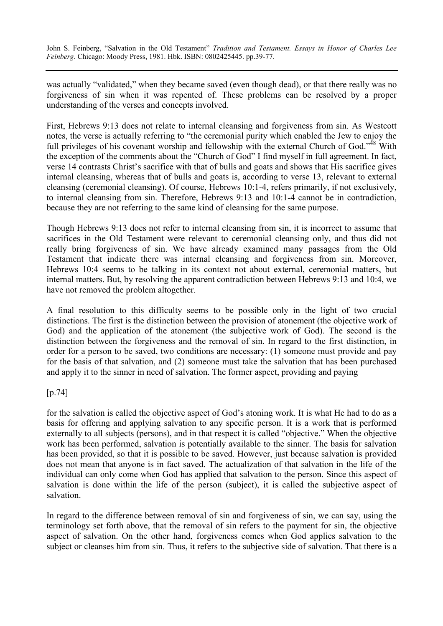was actually "validated," when they became saved (even though dead), or that there really was no forgiveness of sin when it was repented of. These problems can be resolved by a proper understanding of the verses and concepts involved.

First, Hebrews 9:13 does not relate to internal cleansing and forgiveness from sin. As Westcott notes, the verse is actually referring to "the ceremonial purity which enabled the Jew to enjoy the full privileges of his covenant worship and fellowship with the external Church of God."<sup>48</sup> With the exception of the comments about the "Church of God" I find myself in full agreement. In fact, verse 14 contrasts Christ's sacrifice with that of bulls and goats and shows that His sacrifice gives internal cleansing, whereas that of bulls and goats is, according to verse 13, relevant to external cleansing (ceremonial cleansing). Of course, Hebrews 10:1-4, refers primarily, if not exclusively, to internal cleansing from sin. Therefore, Hebrews 9:13 and 10:1-4 cannot be in contradiction, because they are not referring to the same kind of cleansing for the same purpose.

Though Hebrews 9:13 does not refer to internal cleansing from sin, it is incorrect to assume that sacrifices in the Old Testament were relevant to ceremonial cleansing only, and thus did not really bring forgiveness of sin. We have already examined many passages from the Old Testament that indicate there was internal cleansing and forgiveness from sin. Moreover, Hebrews 10:4 seems to be talking in its context not about external, ceremonial matters, but internal matters. But, by resolving the apparent contradiction between Hebrews 9:13 and 10:4, we have not removed the problem altogether.

A final resolution to this difficulty seems to be possible only in the light of two crucial distinctions. The first is the distinction between the provision of atonement (the objective work of God) and the application of the atonement (the subjective work of God). The second is the distinction between the forgiveness and the removal of sin. In regard to the first distinction, in order for a person to be saved, two conditions are necessary: (1) someone must provide and pay for the basis of that salvation, and (2) someone must take the salvation that has been purchased and apply it to the sinner in need of salvation. The former aspect, providing and paying

#### [p.74]

for the salvation is called the objective aspect of God's atoning work. It is what He had to do as a basis for offering and applying salvation to any specific person. It is a work that is performed externally to all subjects (persons), and in that respect it is called "objective." When the objective work has been performed, salvation is potentially available to the sinner. The basis for salvation has been provided, so that it is possible to be saved. However, just because salvation is provided does not mean that anyone is in fact saved. The actualization of that salvation in the life of the individual can only come when God has applied that salvation to the person. Since this aspect of salvation is done within the life of the person (subject), it is called the subjective aspect of salvation.

In regard to the difference between removal of sin and forgiveness of sin, we can say, using the terminology set forth above, that the removal of sin refers to the payment for sin, the objective aspect of salvation. On the other hand, forgiveness comes when God applies salvation to the subject or cleanses him from sin. Thus, it refers to the subjective side of salvation. That there is a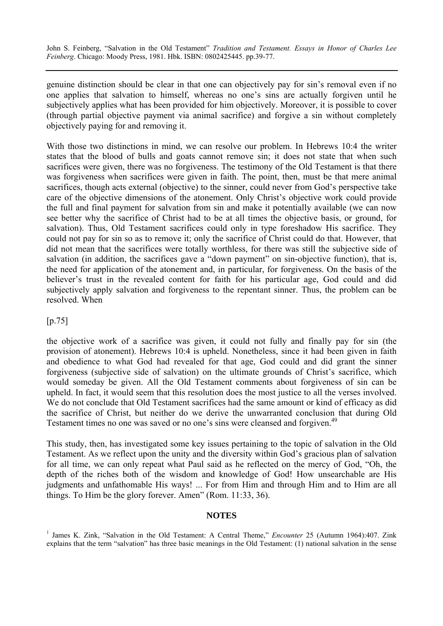genuine distinction should be clear in that one can objectively pay for sin's removal even if no one applies that salvation to himself, whereas no one's sins are actually forgiven until he subjectively applies what has been provided for him objectively. Moreover, it is possible to cover (through partial objective payment via animal sacrifice) and forgive a sin without completely objectively paying for and removing it.

With those two distinctions in mind, we can resolve our problem. In Hebrews 10:4 the writer states that the blood of bulls and goats cannot remove sin; it does not state that when such sacrifices were given, there was no forgiveness. The testimony of the Old Testament is that there was forgiveness when sacrifices were given in faith. The point, then, must be that mere animal sacrifices, though acts external (objective) to the sinner, could never from God's perspective take care of the objective dimensions of the atonement. Only Christ's objective work could provide the full and final payment for salvation from sin and make it potentially available (we can now see better why the sacrifice of Christ had to be at all times the objective basis, or ground, for salvation). Thus, Old Testament sacrifices could only in type foreshadow His sacrifice. They could not pay for sin so as to remove it; only the sacrifice of Christ could do that. However, that did not mean that the sacrifices were totally worthless, for there was still the subjective side of salvation (in addition, the sacrifices gave a "down payment" on sin-objective function), that is, the need for application of the atonement and, in particular, for forgiveness. On the basis of the believer's trust in the revealed content for faith for his particular age, God could and did subjectively apply salvation and forgiveness to the repentant sinner. Thus, the problem can be resolved. When

[p.75]

the objective work of a sacrifice was given, it could not fully and finally pay for sin (the provision of atonement). Hebrews 10:4 is upheld. Nonetheless, since it had been given in faith and obedience to what God had revealed for that age, God could and did grant the sinner forgiveness (subjective side of salvation) on the ultimate grounds of Christ's sacrifice, which would someday be given. All the Old Testament comments about forgiveness of sin can be upheld. In fact, it would seem that this resolution does the most justice to all the verses involved. We do not conclude that Old Testament sacrifices had the same amount or kind of efficacy as did the sacrifice of Christ, but neither do we derive the unwarranted conclusion that during Old Testament times no one was saved or no one's sins were cleansed and forgiven.<sup>49</sup>

This study, then, has investigated some key issues pertaining to the topic of salvation in the Old Testament. As we reflect upon the unity and the diversity within God's gracious plan of salvation for all time, we can only repeat what Paul said as he reflected on the mercy of God, "Oh, the depth of the riches both of the wisdom and knowledge of God! How unsearchable are His judgments and unfathomable His ways! ... For from Him and through Him and to Him are all things. To Him be the glory forever. Amen" (Rom. 11:33, 36).

#### **NOTES**

<sup>&</sup>lt;sup>1</sup> James K. Zink, "Salvation in the Old Testament: A Central Theme," *Encounter* 25 (Autumn 1964):407. Zink explains that the term "salvation" has three basic meanings in the Old Testament: (1) national salvation in the sense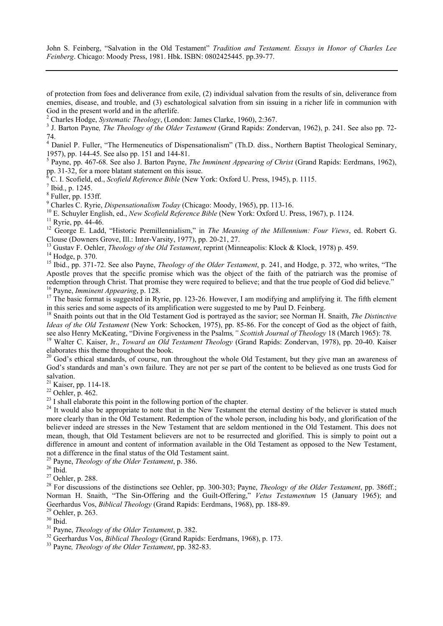of protection from foes and deliverance from exile, (2) individual salvation from the results of sin, deliverance from enemies, disease, and trouble, and (3) eschatological salvation from sin issuing in a richer life in communion with God in the present world and in the afterlife.

<sup>2</sup> Charles Hodge, *Systematic Theology*, (London: James Clarke, 1960), 2:367.

<sup>3</sup> J. Barton Payne, *The Theology of the Older Testament* (Grand Rapids: Zondervan, 1962), p. 241. See also pp. 72-

74. 4 Daniel P. Fuller, "The Hermeneutics of Dispensationalism" (Th.D. diss., Northern Baptist Theological Seminary, 1957), pp. 144-45. See also pp. 151 and 144-81.

5 Payne, pp. 467-68. See also J. Barton Payne, *The Imminent Appearing of Christ* (Grand Rapids: Eerdmans, 1962), pp. 31-32, for a more blatant statement on this issue.<br><sup>6</sup> C. J. Seefield, ed., Seefield Beforence Bible (New Y

C. I. Scofield, ed., *Scofield Reference Bible* (New York: Oxford U. Press, 1945), p. 1115. <sup>7</sup>

 $<sup>7</sup>$  Ibid., p. 1245.</sup>

8 Fuller, pp. 153ff.

<sup>9</sup> Charles C. Ryrie, *Dispensationalism Today* (Chicago: Moody, 1965), pp. 113-16.

<sup>10</sup> E. Schuyler English, ed., *New Scofield Reference Bible* (New York: Oxford U. Press, 1967), p. 1124. <sup>11</sup> Ryrie, pp. 44-46.

12 George E. Ladd, "Historic Premillennialism," in *The Meaning of the Millennium: Four Views*, ed. Robert G. Clouse (Downers Grove, Ill.: Inter-Varsity, 1977), pp. 20-21, 27.

<sup>13</sup> Gustav F. Oehler, *Theology of the Old Testament*, reprint (Minneapolis: Klock & Klock, 1978) p. 459.<br><sup>14</sup> Hodge, p. 370.

15 Ibid., pp. 371-72. See also Payne, *Theology of the Older Testament*, p. 241, and Hodge, p. 372, who writes, "The Apostle proves that the specific promise which was the object of the faith of the patriarch was the promise of redemption through Christ. That promise they were required to believe; and that the true people of God did believe."

<sup>16</sup> Payne, *Imminent Appearing*, p. 128.<br><sup>17</sup> The basic format is suggested in Ryrie, pp. 123-26. However, I am modifying and amplifying it. The fifth element<br>in this series and some aspects of its amplification were sugg

<sup>18</sup> Snaith points out that in the Old Testament God is portrayed as the savior; see Norman H. Snaith, *The Distinctive Ideas of the Old Testament* (New York: Schocken, 1975), pp. 85-86. For the concept of God as the object of faith, see also Henry McKeating, "Divine Forgiveness in the Psalms," Scottish Journal of Theology 18 (March 1965):

<sup>19</sup> Walter C. Kaiser, Jr., *Toward an Old Testament Theology* (Grand Rapids: Zondervan, 1978), pp. 20-40. Kaiser elaborates this theme throughout the book.

<sup>20</sup> God's ethical standards, of course, run throughout the whole Old Testament, but they give man an awareness of God's standards and man's own failure. They are not per se part of the content to be believed as one trusts God for salvation.

 $21$  Kaiser, pp. 114-18.

 $22$  Oehler, p. 462.

 $23$  I shall elaborate this point in the following portion of the chapter.

 $24$  It would also be appropriate to note that in the New Testament the eternal destiny of the believer is stated much more clearly than in the Old Testament. Redemption of the whole person, including his body, and glorification of the believer indeed are stresses in the New Testament that are seldom mentioned in the Old Testament. This does not mean, though, that Old Testament believers are not to be resurrected and glorified. This is simply to point out a difference in amount and content of information available in the Old Testament as opposed to the New Testament, not a difference in the final status of the Old Testament saint.

25 Payne, *Theology of the Older Testament*, p. 386. 26 Ibid.

 $27$  Oehler, p. 288.

<sup>28</sup> For discussions of the distinctions see Oehler, pp. 300-303; Payne, *Theology of the Older Testament*, pp. 386ff.; Norman H. Snaith, "The Sin-Offering and the Guilt-Offering," *Vetus Testamentum* 15 (January 1965); and Geerhardus Vos, *Biblical Theology* (Grand Rapids: Eerdmans, 1968), pp. 188-89.<br><sup>29</sup> Oehler, p. 263.

 $\frac{30}{31}$  Ibid.<br><sup>31</sup> Payne, *Theology of the Older Testament*, p. 382.

<sup>32</sup> Geerhardus Vos, *Biblical Theology* (Grand Rapids: Eerdmans, 1968), p. 173.<br><sup>33</sup> Payne, *Theology of the Older Testament*, pp. 382-83.